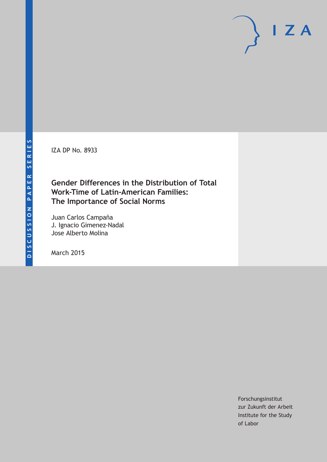IZA DP No. 8933

## **Gender Differences in the Distribution of Total Work-Time of Latin-American Families: The Importance of Social Norms**

Juan Carlos Campaña J. Ignacio Gimenez-Nadal Jose Alberto Molina

March 2015

Forschungsinstitut zur Zukunft der Arbeit Institute for the Study of Labor

 $I Z A$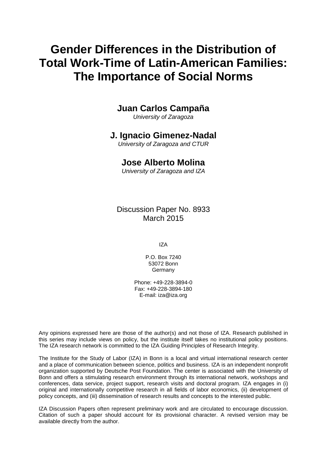# **Gender Differences in the Distribution of Total Work-Time of Latin-American Families: The Importance of Social Norms**

## **Juan Carlos Campaña**

*University of Zaragoza*

### **J. Ignacio Gimenez-Nadal**

*University of Zaragoza and CTUR*

## **Jose Alberto Molina**

*University of Zaragoza and IZA*

Discussion Paper No. 8933 March 2015

IZA

P.O. Box 7240 53072 Bonn **Germany** 

Phone: +49-228-3894-0 Fax: +49-228-3894-180 E-mail: iza@iza.org

Any opinions expressed here are those of the author(s) and not those of IZA. Research published in this series may include views on policy, but the institute itself takes no institutional policy positions. The IZA research network is committed to the IZA Guiding Principles of Research Integrity.

The Institute for the Study of Labor (IZA) in Bonn is a local and virtual international research center and a place of communication between science, politics and business. IZA is an independent nonprofit organization supported by Deutsche Post Foundation. The center is associated with the University of Bonn and offers a stimulating research environment through its international network, workshops and conferences, data service, project support, research visits and doctoral program. IZA engages in (i) original and internationally competitive research in all fields of labor economics, (ii) development of policy concepts, and (iii) dissemination of research results and concepts to the interested public.

<span id="page-1-0"></span>IZA Discussion Papers often represent preliminary work and are circulated to encourage discussion. Citation of such a paper should account for its provisional character. A revised version may be available directly from the author.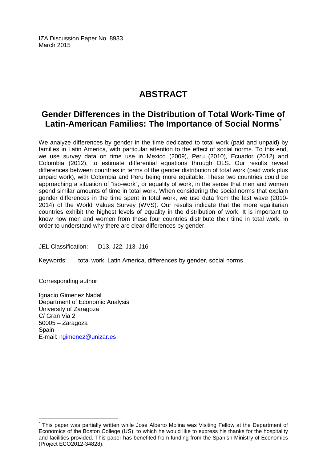IZA Discussion Paper No. 8933 March 2015

## **ABSTRACT**

## **Gender Differences in the Distribution of Total Work-Time of Latin-American Families: The Importance of Social Norms[\\*](#page-1-0)**

We analyze differences by gender in the time dedicated to total work (paid and unpaid) by families in Latin America, with particular attention to the effect of social norms. To this end, we use survey data on time use in Mexico (2009), Peru (2010), Ecuador (2012) and Colombia (2012), to estimate differential equations through OLS. Our results reveal differences between countries in terms of the gender distribution of total work (paid work plus unpaid work), with Colombia and Peru being more equitable. These two countries could be approaching a situation of "iso-work", or equality of work, in the sense that men and women spend similar amounts of time in total work. When considering the social norms that explain gender differences in the time spent in total work, we use data from the last wave (2010- 2014) of the World Values Survey (WVS). Our results indicate that the more egalitarian countries exhibit the highest levels of equality in the distribution of work. It is important to know how men and women from these four countries distribute their time in total work, in order to understand why there are clear differences by gender.

JEL Classification: D13, J22, J13, J16

Keywords: total work, Latin America, differences by gender, social norms

Corresponding author:

Ignacio Gimenez Nadal Department of Economic Analysis University of Zaragoza C/ Gran Via 2 50005 – Zaragoza **Spain** E-mail: [ngimenez@unizar.es](mailto:ngimenez@unizar.es)

This paper was partially written while Jose Alberto Molina was Visiting Fellow at the Department of Economics of the Boston College (US), to which he would like to express his thanks for the hospitality and facilities provided. This paper has benefited from funding from the Spanish Ministry of Economics (Project ECO2012-34828).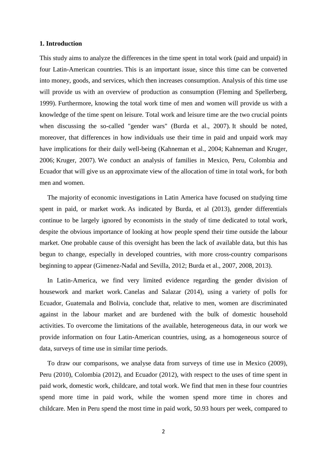#### **1. Introduction**

This study aims to analyze the differences in the time spent in total work (paid and unpaid) in four Latin-American countries. This is an important issue, since this time can be converted into money, goods, and services, which then increases consumption. Analysis of this time use will provide us with an overview of production as consumption (Fleming and Spellerberg, 1999). Furthermore, knowing the total work time of men and women will provide us with a knowledge of the time spent on leisure. Total work and leisure time are the two crucial points when discussing the so-called "gender wars" (Burda et al., 2007). It should be noted, moreover, that differences in how individuals use their time in paid and unpaid work may have implications for their daily well-being (Kahneman et al., 2004; Kahneman and Kruger, 2006; Kruger, 2007). We conduct an analysis of families in Mexico, Peru, Colombia and Ecuador that will give us an approximate view of the allocation of time in total work, for both men and women.

The majority of economic investigations in Latin America have focused on studying time spent in paid, or market work. As indicated by Burda, et al (2013), gender differentials continue to be largely ignored by economists in the study of time dedicated to total work, despite the obvious importance of looking at how people spend their time outside the labour market. One probable cause of this oversight has been the lack of available data, but this has begun to change, especially in developed countries, with more cross-country comparisons beginning to appear (Gimenez-Nadal and Sevilla, 2012; Burda et al., 2007, 2008, 2013).

In Latin-America, we find very limited evidence regarding the gender division of housework and market work. Canelas and Salazar (2014), using a variety of polls for Ecuador, Guatemala and Bolivia, conclude that, relative to men, women are discriminated against in the labour market and are burdened with the bulk of domestic household activities. To overcome the limitations of the available, heterogeneous data, in our work we provide information on four Latin-American countries, using, as a homogeneous source of data, surveys of time use in similar time periods.

To draw our comparisons, we analyse data from surveys of time use in Mexico (2009), Peru (2010), Colombia (2012), and Ecuador (2012), with respect to the uses of time spent in paid work, domestic work, childcare, and total work. We find that men in these four countries spend more time in paid work, while the women spend more time in chores and childcare. Men in Peru spend the most time in paid work, 50.93 hours per week, compared to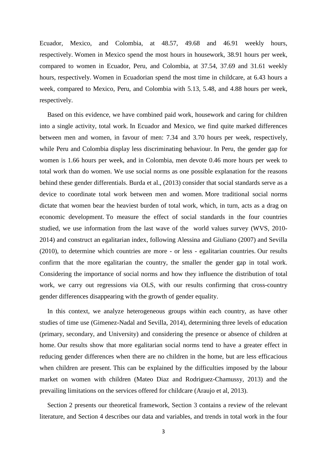Ecuador, Mexico, and Colombia, at 48.57, 49.68 and 46.91 weekly hours, respectively. Women in Mexico spend the most hours in housework, 38.91 hours per week, compared to women in Ecuador, Peru, and Colombia, at 37.54, 37.69 and 31.61 weekly hours, respectively. Women in Ecuadorian spend the most time in childcare, at 6.43 hours a week, compared to Mexico, Peru, and Colombia with 5.13, 5.48, and 4.88 hours per week, respectively.

Based on this evidence, we have combined paid work, housework and caring for children into a single activity, total work. In Ecuador and Mexico, we find quite marked differences between men and women, in favour of men: 7.34 and 3.70 hours per week, respectively, while Peru and Colombia display less discriminating behaviour. In Peru, the gender gap for women is 1.66 hours per week, and in Colombia, men devote 0.46 more hours per week to total work than do women. We use social norms as one possible explanation for the reasons behind these gender differentials. Burda et al., (2013) consider that social standards serve as a device to coordinate total work between men and women. More traditional social norms dictate that women bear the heaviest burden of total work, which, in turn, acts as a drag on economic development. To measure the effect of social standards in the four countries studied, we use information from the last wave of the world values survey (WVS, 2010- 2014) and construct an egalitarian index, following Alessina and Giuliano (2007) and Sevilla (2010), to determine which countries are more - or less - egalitarian countries. Our results confirm that the more egalitarian the country, the smaller the gender gap in total work. Considering the importance of social norms and how they influence the distribution of total work, we carry out regressions via OLS, with our results confirming that cross-country gender differences disappearing with the growth of gender equality.

In this context, we analyze heterogeneous groups within each country, as have other studies of time use (Gimenez-Nadal and Sevilla, 2014), determining three levels of education (primary, secondary, and University) and considering the presence or absence of children at home. Our results show that more egalitarian social norms tend to have a greater effect in reducing gender differences when there are no children in the home, but are less efficacious when children are present. This can be explained by the difficulties imposed by the labour market on women with children (Mateo Diaz and Rodriguez-Chamussy, 2013) and the prevailing limitations on the services offered for childcare (Araujo et al, 2013).

Section 2 presents our theoretical framework, Section 3 contains a review of the relevant literature, and Section 4 describes our data and variables, and trends in total work in the four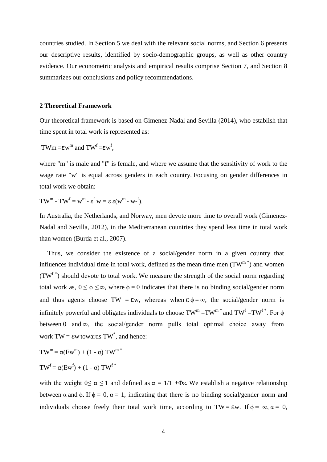countries studied. In Section 5 we deal with the relevant social norms, and Section 6 presents our descriptive results, identified by socio-demographic groups, as well as other country evidence. Our econometric analysis and empirical results comprise Section 7, and Section 8 summarizes our conclusions and policy recommendations.

#### **2 Theoretical Framework**

Our theoretical framework is based on Gimenez-Nadal and Sevilla (2014), who establish that time spent in total work is represented as:

$$
T W m = \varepsilon w^m \text{ and } TW^f = \varepsilon w^f,
$$

where "m" is male and "f" is female, and where we assume that the sensitivity of work to the wage rate "w" is equal across genders in each country. Focusing on gender differences in total work we obtain:

TW<sup>m</sup> - TW<sup>f</sup> = w<sup>m</sup> -  $\varepsilon^f$  w =  $\varepsilon \varepsilon (w^m - w^{-f}).$ 

In Australia, the Netherlands, and Norway, men devote more time to overall work (Gimenez-Nadal and Sevilla, 2012), in the Mediterranean countries they spend less time in total work than women (Burda et al., 2007).

Thus, we consider the existence of a social/gender norm in a given country that influences individual time in total work, defined as the mean time men  $(TW<sup>m*</sup>)$  and women  $(TW<sup>f*</sup>)$  should devote to total work. We measure the strength of the social norm regarding total work as,  $0 \le \phi \le \infty$ , where  $\phi = 0$  indicates that there is no binding social/gender norm and thus agents choose TW =  $\epsilon w$ , whereas when  $\epsilon \phi = \infty$ , the social/gender norm is infinitely powerful and obligates individuals to choose  $TW^m = TW^{m*}$  and  $TW^f = TW^{f*}$ . For  $\phi$ between 0 and  $\infty$ , the social/gender norm pulls total optimal choice away from work  $TW = \varepsilon w$  towards  $TW^*$ , and hence:

 $TW^m = \alpha$ (Ew<sup>m</sup>) + (1 -  $\alpha$ ) TW<sup>m \*</sup>

 $TW^f = \alpha(Ew^f) + (1 - \alpha) TW^{f*}$ 

with the weight  $0 \le \alpha \le 1$  and defined as  $\alpha = 1/1 + \Phi \epsilon$ . We establish a negative relationship between  $\alpha$  and  $\phi$ . If  $\phi = 0$ ,  $\alpha = 1$ , indicating that there is no binding social/gender norm and individuals choose freely their total work time, according to TW =  $\epsilon w$ . If  $\phi = \infty$ ,  $\alpha = 0$ ,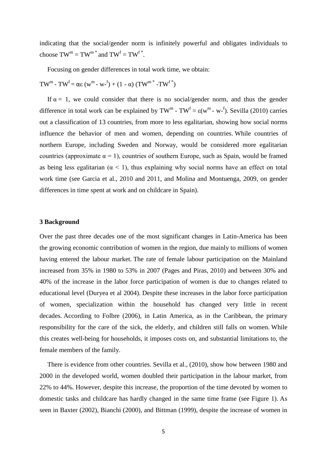indicating that the social/gender norm is infinitely powerful and obligates individuals to choose  $TW^m = TW^{m*}$  and  $TW^f = TW^{f*}$ .

Focusing on gender differences in total work time, we obtain:

$$
TW^{m} - TW^{f} = \alpha \epsilon (w^{m} - w^{-f}) + (1 - \alpha) (TW^{m} * -TW^{f*})
$$

If  $\alpha = 1$ , we could consider that there is no social/gender norm, and thus the gender difference in total work can be explained by TW<sup>m</sup> - TW<sup>f</sup> =  $\varepsilon(w^m - w^{-1})$ . Sevilla (2010) carries out a classification of 13 countries, from more to less egalitarian, showing how social norms influence the behavior of men and women, depending on countries. While countries of northern Europe, including Sweden and Norway, would be considered more egalitarian countries (approximate  $\alpha = 1$ ), countries of southern Europe, such as Spain, would be framed as being less egalitarian ( $\alpha$  < 1), thus explaining why social norms have an effect on total work time (see Garcia et al., 2010 and 2011, and Molina and Montuenga, 2009, on gender differences in time spent at work and on childcare in Spain).

#### **3 Background**

Over the past three decades one of the most significant changes in Latin-America has been the growing economic contribution of women in the region, due mainly to millions of women having entered the labour market. The rate of female labour participation on the Mainland increased from 35% in 1980 to 53% in 2007 (Pages and Piras, 2010) and between 30% and 40% of the increase in the labor force participation of women is due to changes related to educational level (Duryea et al 2004). Despite these increases in the labor force participation of women, specialization within the household has changed very little in recent decades. According to Folbre (2006), in Latin America, as in the Caribbean, the primary responsibility for the care of the sick, the elderly, and children still falls on women. While this creates well-being for households, it imposes costs on, and substantial limitations to, the female members of the family.

There is evidence from other countries. Sevilla et al., (2010), show how between 1980 and 2000 in the developed world, women doubled their participation in the labour market, from 22% to 44%. However, despite this increase, the proportion of the time devoted by women to domestic tasks and childcare has hardly changed in the same time frame (see Figure 1). As seen in Baxter (2002), Bianchi (2000), and Bittman (1999), despite the increase of women in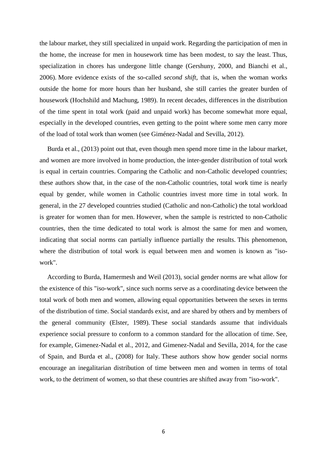the labour market, they still specialized in unpaid work. Regarding the participation of men in the home, the increase for men in housework time has been modest, to say the least. Thus, specialization in chores has undergone little change (Gershuny, 2000, and Bianchi et al., 2006). More evidence exists of the so-called *second shift*, that is, when the woman works outside the home for more hours than her husband, she still carries the greater burden of housework (Hochshild and Machung, 1989). In recent decades, differences in the distribution of the time spent in total work (paid and unpaid work) has become somewhat more equal, especially in the developed countries, even getting to the point where some men carry more of the load of total work than women (see Giménez-Nadal and Sevilla, 2012).

Burda et al., (2013) point out that, even though men spend more time in the labour market, and women are more involved in home production, the inter-gender distribution of total work is equal in certain countries. Comparing the Catholic and non-Catholic developed countries; these authors show that, in the case of the non-Catholic countries, total work time is nearly equal by gender, while women in Catholic countries invest more time in total work. In general, in the 27 developed countries studied (Catholic and non-Catholic) the total workload is greater for women than for men. However, when the sample is restricted to non-Catholic countries, then the time dedicated to total work is almost the same for men and women, indicating that social norms can partially influence partially the results. This phenomenon, where the distribution of total work is equal between men and women is known as "isowork".

According to Burda, Hamermesh and Weil (2013), social gender norms are what allow for the existence of this "iso-work", since such norms serve as a coordinating device between the total work of both men and women, allowing equal opportunities between the sexes in terms of the distribution of time. Social standards exist, and are shared by others and by members of the general community (Elster, 1989). These social standards assume that individuals experience social pressure to conform to a common standard for the allocation of time. See, for example, Gimenez-Nadal et al., 2012, and Gimenez-Nadal and Sevilla, 2014, for the case of Spain, and Burda et al., (2008) for Italy. These authors show how gender social norms encourage an inegalitarian distribution of time between men and women in terms of total work, to the detriment of women, so that these countries are shifted away from "iso-work".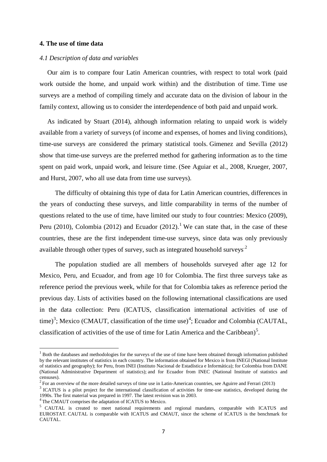#### **4. The use of time data**

#### *4.1 Description of data and variables*

Our aim is to compare four Latin American countries, with respect to total work (paid work outside the home, and unpaid work within) and the distribution of time. Time use surveys are a method of compiling timely and accurate data on the division of labour in the family context, allowing us to consider the interdependence of both paid and unpaid work.

As indicated by Stuart (2014), although information relating to unpaid work is widely available from a variety of surveys (of income and expenses, of homes and living conditions), time-use surveys are considered the primary statistical tools. Gimenez and Sevilla (2012) show that time-use surveys are the preferred method for gathering information as to the time spent on paid work, unpaid work, and leisure time. (See Aguiar et al., 2008, Krueger, 2007, and Hurst, 2007, who all use data from time use surveys).

The difficulty of obtaining this type of data for Latin American countries, differences in the years of conducting these surveys, and little comparability in terms of the number of questions related to the use of time, have limited our study to four countries: Mexico (2009), Peru (2010), Colombia (2012) and Ecuador (2012).<sup>1</sup> We can state that, in the case of these countries, these are the first independent time-use surveys, since data was only previously available through other types of survey, such as integrated household surveys<sup>.[2](#page-8-0)</sup>

The population studied are all members of households surveyed after age 12 for Mexico, Peru, and Ecuador, and from age 10 for Colombia. The first three surveys take as reference period the previous week, while for that for Colombia takes as reference period the previous day. Lists of activities based on the following international classifications are used in the data collection: Peru (ICATUS, classification international activities of use of time)<sup>[3](#page-8-1)</sup>; Mexico (CMAUT, classification of the time use)<sup>[4](#page-8-2)</sup>; Ecuador and Colombia (CAUTAL, classification of activities of the use of time for Latin America and the Caribbean)<sup>[5](#page-8-3)</sup>.

<sup>&</sup>lt;sup>1</sup> Both the databases and methodologies for the surveys of the use of time have been obtained through information published by the relevant institutes of statistics in each country. The information obtained for Mexico is from INEGI (National Institute of statistics and geography); for Peru, from INEI (Instituto Nacional de Estadística e Informática); for Colombia from DANE (National Administrative Department of statistics); and for Ecuador from INEC (National Institute of statistics and censuses).<br><sup>2</sup> For an overview of the more detailed surveys of time use in Latin-American countries, see Aguirre and Ferrari (2013)

<span id="page-8-0"></span>

<span id="page-8-1"></span><sup>&</sup>lt;sup>3</sup> ICATUS is a pilot project for the international classification of activities for time-use statistics, developed during the 1990s. The first material was prepared in 1997. The latest revision was in 2003. <sup>4</sup> The CMAUT comprises the adaptation of ICATUS to Mexico.

<span id="page-8-3"></span><span id="page-8-2"></span><sup>&</sup>lt;sup>5</sup> CAUTAL is created to meet national requirements and regional mandates, comparable with ICATUS and EUROSTAT. CAUTAL is comparable with ICATUS and CMAUT, since the scheme of ICATUS is the benchmark for CAUTAL.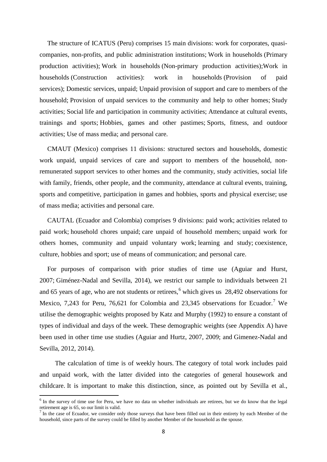The structure of ICATUS (Peru) comprises 15 main divisions: work for corporates, quasicompanies, non-profits, and public administration institutions; Work in households (Primary production activities); Work in households (Non-primary production activities);Work in households (Construction activities): work in households (Provision of paid services); Domestic services, unpaid; Unpaid provision of support and care to members of the household; Provision of unpaid services to the community and help to other homes; Study activities; Social life and participation in community activities; Attendance at cultural events, trainings and sports; Hobbies, games and other pastimes; Sports, fitness, and outdoor activities; Use of mass media; and personal care.

CMAUT (Mexico) comprises 11 divisions: structured sectors and households, domestic work unpaid, unpaid services of care and support to members of the household, nonremunerated support services to other homes and the community, study activities, social life with family, friends, other people, and the community, attendance at cultural events, training, sports and competitive, participation in games and hobbies, sports and physical exercise; use of mass media; activities and personal care.

CAUTAL (Ecuador and Colombia) comprises 9 divisions: paid work; activities related to paid work; household chores unpaid; care unpaid of household members; unpaid work for others homes, community and unpaid voluntary work; learning and study; coexistence, culture, hobbies and sport; use of means of communication; and personal care.

For purposes of comparison with prior studies of time use (Aguiar and Hurst, 2007; Giménez-Nadal and Sevilla, 2014), we restrict our sample to individuals between 21 and 65 years of age, who are not students or retirees, [6](#page-8-2) which gives us 28,492 observations for Mexico, [7](#page-9-0),243 for Peru, 76,621 for Colombia and 23,345 observations for Ecuador.<sup>7</sup> We utilise the demographic weights proposed by Katz and Murphy (1992) to ensure a constant of types of individual and days of the week. These demographic weights (see Appendix A) have been used in other time use studies (Aguiar and Hurtz, 2007, 2009; and Gimenez-Nadal and Sevilla, 2012, 2014).

The calculation of time is of weekly hours. The category of total work includes paid and unpaid work, with the latter divided into the categories of general housework and childcare. It is important to make this distinction, since, as pointed out by Sevilla et al.,

<sup>&</sup>lt;sup>6</sup> In the survey of time use for Peru, we have no data on whether individuals are retirees, but we do know that the legal retirement age is 65, so our limit is valid.

<span id="page-9-1"></span><span id="page-9-0"></span> $<sup>7</sup>$  In the case of Ecuador, we consider only those surveys that have been filled out in their entirety by each Member of the</sup> household, since parts of the survey could be filled by another Member of the household as the spouse.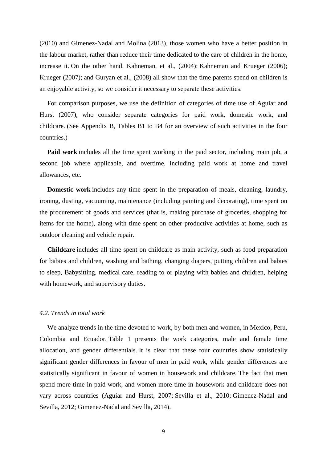(2010) and Gimenez-Nadal and Molina (2013), those women who have a better position in the labour market, rather than reduce their time dedicated to the care of children in the home, increase it. On the other hand, Kahneman, et al., (2004); Kahneman and Krueger (2006); Krueger (2007); and Guryan et al., (2008) all show that the time parents spend on children is an enjoyable activity, so we consider it necessary to separate these activities.

For comparison purposes, we use the definition of categories of time use of Aguiar and Hurst (2007), who consider separate categories for paid work, domestic work, and childcare. (See Appendix B, Tables B1 to B4 for an overview of such activities in the four countries.)

**Paid work** includes all the time spent working in the paid sector, including main job, a second job where applicable, and overtime, including paid work at home and travel allowances, etc.

**Domestic work** includes any time spent in the preparation of meals, cleaning, laundry, ironing, dusting, vacuuming, maintenance (including painting and decorating), time spent on the procurement of goods and services (that is, making purchase of groceries, shopping for items for the home), along with time spent on other productive activities at home, such as outdoor cleaning and vehicle repair.

**Childcare** includes all time spent on childcare as main activity, such as food preparation for babies and children, washing and bathing, changing diapers, putting children and babies to sleep, Babysitting, medical care, reading to or playing with babies and children, helping with homework, and supervisory duties.

#### *4.2. Trends in total work*

We analyze trends in the time devoted to work, by both men and women, in Mexico, Peru, Colombia and Ecuador. Table 1 presents the work categories, male and female time allocation, and gender differentials. It is clear that these four countries show statistically significant gender differences in favour of men in paid work, while gender differences are statistically significant in favour of women in housework and childcare. The fact that men spend more time in paid work, and women more time in housework and childcare does not vary across countries (Aguiar and Hurst, 2007; Sevilla et al., 2010; Gimenez-Nadal and Sevilla, 2012; Gimenez-Nadal and Sevilla, 2014).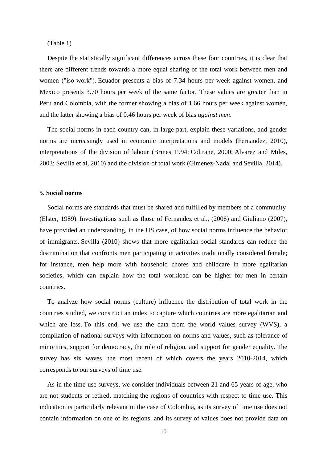(Table 1)

Despite the statistically significant differences across these four countries, it is clear that there are different trends towards a more equal sharing of the total work between men and women ("iso-work"). Ecuador presents a bias of 7.34 hours per week against women, and Mexico presents 3.70 hours per week of the same factor. These values are greater than in Peru and Colombia, with the former showing a bias of 1.66 hours per week against women, and the latter showing a bias of 0.46 hours per week of bias *against men*.

The social norms in each country can, in large part, explain these variations, and gender norms are increasingly used in economic interpretations and models (Fernandez, 2010), interpretations of the division of labour (Brines 1994; Coltrane, 2000; Alvarez and Miles, 2003; Sevilla et al, 2010) and the division of total work (Gimenez-Nadal and Sevilla, 2014).

### **5. Social norms**

Social norms are standards that must be shared and fulfilled by members of a community (Elster, 1989). Investigations such as those of Fernandez et al., (2006) and Giuliano (2007), have provided an understanding, in the US case, of how social norms influence the behavior of immigrants. Sevilla (2010) shows that more egalitarian social standards can reduce the discrimination that confronts men participating in activities traditionally considered female; for instance, men help more with household chores and childcare in more egalitarian societies, which can explain how the total workload can be higher for men in certain countries.

To analyze how social norms (culture) influence the distribution of total work in the countries studied, we construct an index to capture which countries are more egalitarian and which are less. To this end, we use the data from the world values survey (WVS), a compilation of national surveys with information on norms and values, such as tolerance of minorities, support for democracy, the role of religion, and support for gender equality. The survey has six waves, the most recent of which covers the years 2010-2014, which corresponds to our surveys of time use.

As in the time-use surveys, we consider individuals between 21 and 65 years of age, who are not students or retired, matching the regions of countries with respect to time use. This indication is particularly relevant in the case of Colombia, as its survey of time use does not contain information on one of its regions, and its survey of values does not provide data on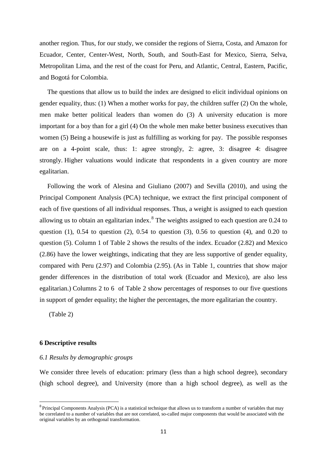another region. Thus, for our study, we consider the regions of Sierra, Costa, and Amazon for Ecuador, Center, Center-West, North, South, and South-East for Mexico, Sierra, Selva, Metropolitan Lima, and the rest of the coast for Peru, and Atlantic, Central, Eastern, Pacific, and Bogotá for Colombia.

The questions that allow us to build the index are designed to elicit individual opinions on gender equality, thus: (1) When a mother works for pay, the children suffer (2) On the whole, men make better political leaders than women do (3) A university education is more important for a boy than for a girl (4) On the whole men make better business executives than women (5) Being a housewife is just as fulfilling as working for pay. The possible responses are on a 4-point scale, thus: 1: agree strongly, 2: agree, 3: disagree 4: disagree strongly. Higher valuations would indicate that respondents in a given country are more egalitarian.

Following the work of Alesina and Giuliano (2007) and Sevilla (2010), and using the Principal Component Analysis (PCA) technique, we extract the first principal component of each of five questions of all individual responses. Thus, a weight is assigned to each question allowing us to obtain an egalitarian index.<sup>[8](#page-9-1)</sup> The weights assigned to each question are 0.24 to question (1),  $0.54$  to question (2),  $0.54$  to question (3),  $0.56$  to question (4), and  $0.20$  to question (5). Column 1 of Table 2 shows the results of the index. Ecuador (2.82) and Mexico (2.86) have the lower weightings, indicating that they are less supportive of gender equality, compared with Peru (2.97) and Colombia (2.95). (As in Table 1, countries that show major gender differences in the distribution of total work (Ecuador and Mexico), are also less egalitarian.) Columns 2 to 6 of Table 2 show percentages of responses to our five questions in support of gender equality; the higher the percentages, the more egalitarian the country.

(Table 2)

### **6 Descriptive results**

### *6.1 Results by demographic groups*

We consider three levels of education: primary (less than a high school degree), secondary (high school degree), and University (more than a high school degree), as well as the

<span id="page-12-0"></span> $8$  Principal Components Analysis (PCA) is a statistical technique that allows us to transform a number of variables that may be correlated to a number of variables that are not correlated, so-called major components that would be associated with the original variables by an orthogonal transformation.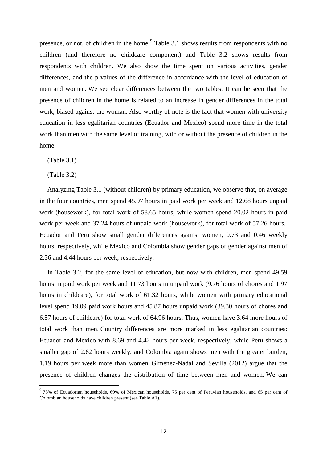presence, or not, of children in the home.<sup>[9](#page-12-0)</sup> Table 3.1 shows results from respondents with no children (and therefore no childcare component) and Table 3.2 shows results from respondents with children. We also show the time spent on various activities, gender differences, and the p-values of the difference in accordance with the level of education of men and women. We see clear differences between the two tables. It can be seen that the presence of children in the home is related to an increase in gender differences in the total work, biased against the woman. Also worthy of note is the fact that women with university education in less egalitarian countries (Ecuador and Mexico) spend more time in the total work than men with the same level of training, with or without the presence of children in the home.

(Table 3.1)

(Table 3.2)

Analyzing Table 3.1 (without children) by primary education, we observe that, on average in the four countries, men spend 45.97 hours in paid work per week and 12.68 hours unpaid work (housework), for total work of 58.65 hours, while women spend 20.02 hours in paid work per week and 37.24 hours of unpaid work (housework), for total work of 57.26 hours. Ecuador and Peru show small gender differences against women, 0.73 and 0.46 weekly hours, respectively, while Mexico and Colombia show gender gaps of gender against men of 2.36 and 4.44 hours per week, respectively.

In Table 3.2, for the same level of education, but now with children, men spend 49.59 hours in paid work per week and 11.73 hours in unpaid work (9.76 hours of chores and 1.97 hours in childcare), for total work of 61.32 hours, while women with primary educational level spend 19.09 paid work hours and 45.87 hours unpaid work (39.30 hours of chores and 6.57 hours of childcare) for total work of 64.96 hours. Thus, women have 3.64 more hours of total work than men. Country differences are more marked in less egalitarian countries: Ecuador and Mexico with 8.69 and 4.42 hours per week, respectively, while Peru shows a smaller gap of 2.62 hours weekly, and Colombia again shows men with the greater burden, 1.19 hours per week more than women. Giménez-Nadal and Sevilla (2012) argue that the presence of children changes the distribution of time between men and women. We can

<span id="page-13-0"></span><sup>&</sup>lt;sup>9</sup> 75% of Ecuadorian households, 69% of Mexican households, 75 per cent of Peruvian households, and 65 per cent of Colombian households have children present (see Table A1).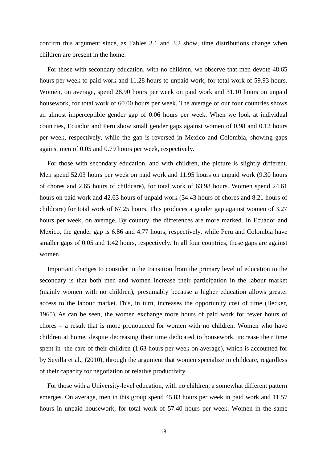confirm this argument since, as Tables 3.1 and 3.2 show, time distributions change when children are present in the home.

For those with secondary education, with no children, we observe that men devote 48.65 hours per week to paid work and 11.28 hours to unpaid work, for total work of 59.93 hours. Women, on average, spend 28.90 hours per week on paid work and 31.10 hours on unpaid housework, for total work of 60.00 hours per week. The average of our four countries shows an almost imperceptible gender gap of 0.06 hours per week. When we look at individual countries, Ecuador and Peru show small gender gaps against women of 0.98 and 0.12 hours per week, respectively, while the gap is reversed in Mexico and Colombia, showing gaps against men of 0.05 and 0.79 hours per week, respectively.

For those with secondary education, and with children, the picture is slightly different. Men spend 52.03 hours per week on paid work and 11.95 hours on unpaid work (9.30 hours of chores and 2.65 hours of childcare), for total work of 63.98 hours. Women spend 24.61 hours on paid work and 42.63 hours of unpaid work (34.43 hours of chores and 8.21 hours of childcare) for total work of 67.25 hours. This produces a gender gap against women of 3.27 hours per week, on average. By country, the differences are more marked. In Ecuador and Mexico, the gender gap is 6.86 and 4.77 hours, respectively, while Peru and Colombia have smaller gaps of 0.05 and 1.42 hours, respectively. In all four countries, these gaps are against women.

Important changes to consider in the transition from the primary level of education to the secondary is that both men and women increase their participation in the labour market (mainly women with no children), presumably because a higher education allows greater access to the labour market. This, in turn, increases the opportunity cost of time (Becker, 1965). As can be seen, the women exchange more hours of paid work for fewer hours of chores – a result that is more pronounced for women with no children. Women who have children at home, despite decreasing their time dedicated to housework, increase their time spent in the care of their children (1.63 hours per week on average), which is accounted for by Sevilla et al., (2010), through the argument that women specialize in childcare, regardless of their capacity for negotiation or relative productivity.

For those with a University-level education, with no children, a somewhat different pattern emerges. On average, men in this group spend 45.83 hours per week in paid work and 11.57 hours in unpaid housework, for total work of 57.40 hours per week. Women in the same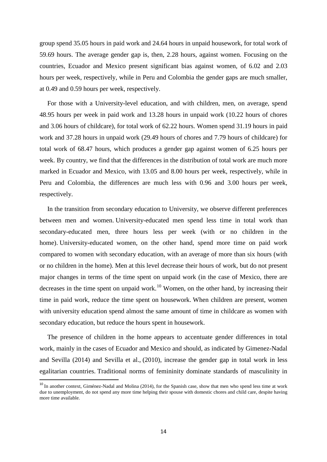group spend 35.05 hours in paid work and 24.64 hours in unpaid housework, for total work of 59.69 hours. The average gender gap is, then, 2.28 hours, against women. Focusing on the countries, Ecuador and Mexico present significant bias against women, of 6.02 and 2.03 hours per week, respectively, while in Peru and Colombia the gender gaps are much smaller, at 0.49 and 0.59 hours per week, respectively.

For those with a University-level education, and with children, men, on average, spend 48.95 hours per week in paid work and 13.28 hours in unpaid work (10.22 hours of chores and 3.06 hours of childcare), for total work of 62.22 hours. Women spend 31.19 hours in paid work and 37.28 hours in unpaid work (29.49 hours of chores and 7.79 hours of childcare) for total work of 68.47 hours, which produces a gender gap against women of 6.25 hours per week. By country, we find that the differences in the distribution of total work are much more marked in Ecuador and Mexico, with 13.05 and 8.00 hours per week, respectively, while in Peru and Colombia, the differences are much less with 0.96 and 3.00 hours per week, respectively.

In the transition from secondary education to University, we observe different preferences between men and women. University-educated men spend less time in total work than secondary-educated men, three hours less per week (with or no children in the home). University-educated women, on the other hand, spend more time on paid work compared to women with secondary education, with an average of more than six hours (with or no children in the home). Men at this level decrease their hours of work, but do not present major changes in terms of the time spent on unpaid work (in the case of Mexico, there are decreases in the time spent on unpaid work.<sup>[10](#page-13-0)</sup> Women, on the other hand, by increasing their time in paid work, reduce the time spent on housework. When children are present, women with university education spend almost the same amount of time in childcare as women with secondary education, but reduce the hours spent in housework.

The presence of children in the home appears to accentuate gender differences in total work, mainly in the cases of Ecuador and Mexico and should, as indicated by Gimenez-Nadal and Sevilla (2014) and Sevilla et al., (2010), increase the gender gap in total work in less egalitarian countries. Traditional norms of femininity dominate standards of masculinity in

<span id="page-15-0"></span><sup>&</sup>lt;sup>10</sup> In another context, Giménez-Nadal and Molina (2014), for the Spanish case, show that men who spend less time at work due to unemployment, do not spend any more time helping their spouse with domestic chores and child care, despite having more time available.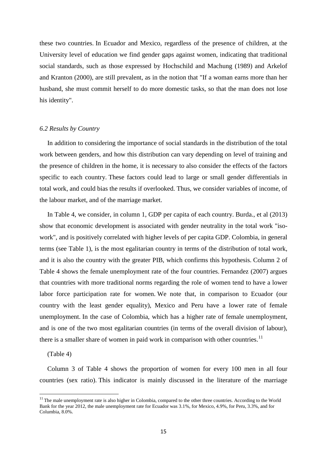these two countries. In Ecuador and Mexico, regardless of the presence of children, at the University level of education we find gender gaps against women, indicating that traditional social standards, such as those expressed by Hochschild and Machung (1989) and Arkelof and Kranton (2000), are still prevalent, as in the notion that "If a woman earns more than her husband, she must commit herself to do more domestic tasks, so that the man does not lose his identity".

#### *6.2 Results by Country*

In addition to considering the importance of social standards in the distribution of the total work between genders, and how this distribution can vary depending on level of training and the presence of children in the home, it is necessary to also consider the effects of the factors specific to each country. These factors could lead to large or small gender differentials in total work, and could bias the results if overlooked. Thus, we consider variables of income, of the labour market, and of the marriage market.

In Table 4, we consider, in column 1, GDP per capita of each country. Burda., et al (2013) show that economic development is associated with gender neutrality in the total work "isowork", and is positively correlated with higher levels of per capita GDP. Colombia, in general terms (see Table 1), is the most egalitarian country in terms of the distribution of total work, and it is also the country with the greater PIB, which confirms this hypothesis. Column 2 of Table 4 shows the female unemployment rate of the four countries. Fernandez (2007) argues that countries with more traditional norms regarding the role of women tend to have a lower labor force participation rate for women. We note that, in comparison to Ecuador (our country with the least gender equality), Mexico and Peru have a lower rate of female unemployment. In the case of Colombia, which has a higher rate of female unemployment, and is one of the two most egalitarian countries (in terms of the overall division of labour), there is a smaller share of women in paid work in comparison with other countries.<sup>[11](#page-15-0)</sup>

#### (Table 4)

Column 3 of Table 4 shows the proportion of women for every 100 men in all four countries (sex ratio). This indicator is mainly discussed in the literature of the marriage

 $11$  The male unemployment rate is also higher in Colombia, compared to the other three countries. According to the World Bank for the year 2012, the male unemployment rate for Ecuador was 3.1%, for Mexico, 4.9%, for Peru, 3.3%, and for Columbia, 8.0%.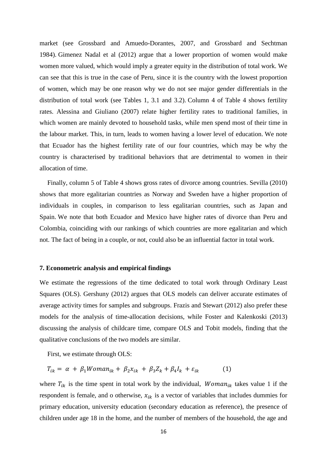market (see Grossbard and Amuedo-Dorantes, 2007, and Grossbard and Sechtman 1984). Gimenez Nadal et al (2012) argue that a lower proportion of women would make women more valued, which would imply a greater equity in the distribution of total work. We can see that this is true in the case of Peru, since it is the country with the lowest proportion of women, which may be one reason why we do not see major gender differentials in the distribution of total work (see Tables 1, 3.1 and 3.2). Column 4 of Table 4 shows fertility rates. Alessina and Giuliano (2007) relate higher fertility rates to traditional families, in which women are mainly devoted to household tasks, while men spend most of their time in the labour market. This, in turn, leads to women having a lower level of education. We note that Ecuador has the highest fertility rate of our four countries, which may be why the country is characterised by traditional behaviors that are detrimental to women in their allocation of time.

Finally, column 5 of Table 4 shows gross rates of divorce among countries. Sevilla (2010) shows that more egalitarian countries as Norway and Sweden have a higher proportion of individuals in couples, in comparison to less egalitarian countries, such as Japan and Spain. We note that both Ecuador and Mexico have higher rates of divorce than Peru and Colombia, coinciding with our rankings of which countries are more egalitarian and which not. The fact of being in a couple, or not, could also be an influential factor in total work.

#### **7. Econometric analysis and empirical findings**

We estimate the regressions of the time dedicated to total work through Ordinary Least Squares (OLS). Gershuny (2012) argues that OLS models can deliver accurate estimates of average activity times for samples and subgroups. Frazis and Stewart (2012) also prefer these models for the analysis of time-allocation decisions, while Foster and Kalenkoski (2013) discussing the analysis of childcare time, compare OLS and Tobit models, finding that the qualitative conclusions of the two models are similar.

First, we estimate through OLS:

$$
T_{ik} = \alpha + \beta_1 Woman_{ik} + \beta_2 x_{ik} + \beta_3 Z_k + \beta_4 I_k + \varepsilon_{ik} \tag{1}
$$

where  $T_{ik}$  is the time spent in total work by the individual, *Woman*<sub>ik</sub> takes value 1 if the respondent is female, and o otherwise,  $x_{ik}$  is a vector of variables that includes dummies for primary education, university education (secondary education as reference), the presence of children under age 18 in the home, and the number of members of the household, the age and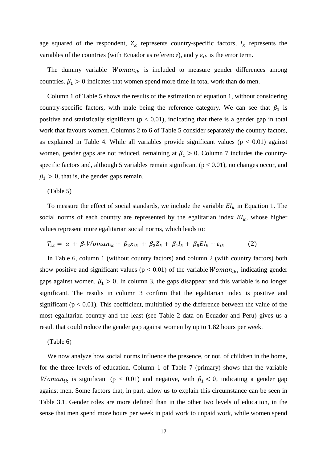age squared of the respondent,  $Z_k$  represents country-specific factors,  $I_k$  represents the variables of the countries (with Ecuador as reference), and y  $\varepsilon_{ik}$  is the error term.

The dummy variable  $Woman_{ik}$  is included to measure gender differences among countries.  $\beta_1 > 0$  indicates that women spend more time in total work than do men.

Column 1 of Table 5 shows the results of the estimation of equation 1, without considering country-specific factors, with male being the reference category. We can see that  $\beta_1$  is positive and statistically significant ( $p < 0.01$ ), indicating that there is a gender gap in total work that favours women. Columns 2 to 6 of Table 5 consider separately the country factors, as explained in Table 4. While all variables provide significant values ( $p < 0.01$ ) against women, gender gaps are not reduced, remaining at  $\beta_1 > 0$ . Column 7 includes the countryspecific factors and, although 5 variables remain significant ( $p < 0.01$ ), no changes occur, and  $\beta_1 > 0$ , that is, the gender gaps remain.

#### (Table 5)

To measure the effect of social standards, we include the variable  $EI_k$  in Equation 1. The social norms of each country are represented by the egalitarian index  $EI_k$ , whose higher values represent more egalitarian social norms, which leads to:

$$
T_{ik} = \alpha + \beta_1 Woman_{ik} + \beta_2 x_{ik} + \beta_3 Z_k + \beta_4 I_k + \beta_5 EI_k + \varepsilon_{ik}
$$
 (2)

In Table 6, column 1 (without country factors) and column 2 (with country factors) both show positive and significant values ( $p < 0.01$ ) of the variable *Woman<sub>ik</sub>*, indicating gender gaps against women,  $\beta_1 > 0$ . In column 3, the gaps disappear and this variable is no longer significant. The results in column 3 confirm that the egalitarian index is positive and significant ( $p < 0.01$ ). This coefficient, multiplied by the difference between the value of the most egalitarian country and the least (see Table 2 data on Ecuador and Peru) gives us a result that could reduce the gender gap against women by up to 1.82 hours per week.

#### (Table 6)

We now analyze how social norms influence the presence, or not, of children in the home, for the three levels of education. Column 1 of Table 7 (primary) shows that the variable Woman<sub>ik</sub> is significant (p < 0.01) and negative, with  $\beta_1$  < 0, indicating a gender gap against men. Some factors that, in part, allow us to explain this circumstance can be seen in Table 3.1. Gender roles are more defined than in the other two levels of education, in the sense that men spend more hours per week in paid work to unpaid work, while women spend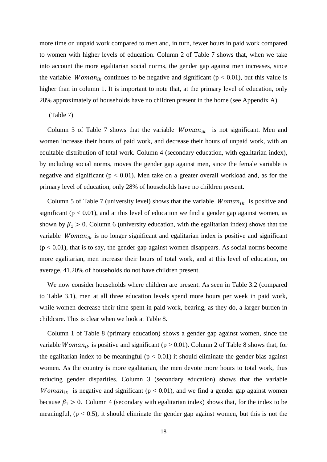more time on unpaid work compared to men and, in turn, fewer hours in paid work compared to women with higher levels of education. Column 2 of Table 7 shows that, when we take into account the more egalitarian social norms, the gender gap against men increases, since the variable *Woman<sub>ik</sub>* continues to be negative and significant ( $p < 0.01$ ), but this value is higher than in column 1. It is important to note that, at the primary level of education, only 28% approximately of households have no children present in the home (see Appendix A).

#### (Table 7)

Column 3 of Table 7 shows that the variable  $Woman_{ik}$  is not significant. Men and women increase their hours of paid work, and decrease their hours of unpaid work, with an equitable distribution of total work. Column 4 (secondary education, with egalitarian index), by including social norms, moves the gender gap against men, since the female variable is negative and significant ( $p < 0.01$ ). Men take on a greater overall workload and, as for the primary level of education, only 28% of households have no children present.

Column 5 of Table 7 (university level) shows that the variable  $Woman_{ik}$  is positive and significant ( $p < 0.01$ ), and at this level of education we find a gender gap against women, as shown by  $\beta_1 > 0$ . Column 6 (university education, with the egalitarian index) shows that the variable *Woman<sub>ik</sub>* is no longer significant and egalitarian index is positive and significant  $(p < 0.01)$ , that is to say, the gender gap against women disappears. As social norms become more egalitarian, men increase their hours of total work, and at this level of education, on average, 41.20% of households do not have children present.

We now consider households where children are present. As seen in Table 3.2 (compared to Table 3.1), men at all three education levels spend more hours per week in paid work, while women decrease their time spent in paid work, bearing, as they do, a larger burden in childcare. This is clear when we look at Table 8.

Column 1 of Table 8 (primary education) shows a gender gap against women, since the variable *Woman<sub>ik</sub>* is positive and significant ( $p > 0.01$ ). Column 2 of Table 8 shows that, for the egalitarian index to be meaningful ( $p < 0.01$ ) it should eliminate the gender bias against women. As the country is more egalitarian, the men devote more hours to total work, thus reducing gender disparities. Column 3 (secondary education) shows that the variable *Woman<sub>ik</sub>* is negative and significant ( $p < 0.01$ ), and we find a gender gap against women because  $\beta_1 > 0$ . Column 4 (secondary with egalitarian index) shows that, for the index to be meaningful,  $(p < 0.5)$ , it should eliminate the gender gap against women, but this is not the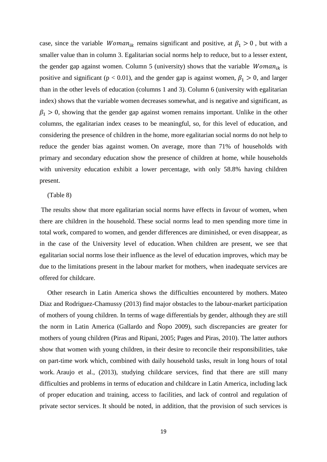case, since the variable *Woman<sub>ik</sub>* remains significant and positive, at  $\beta_1 > 0$ , but with a smaller value than in column 3. Egalitarian social norms help to reduce, but to a lesser extent, the gender gap against women. Column 5 (university) shows that the variable  $Woman_{ik}$  is positive and significant ( $p < 0.01$ ), and the gender gap is against women,  $\beta_1 > 0$ , and larger than in the other levels of education (columns 1 and 3). Column 6 (university with egalitarian index) shows that the variable women decreases somewhat, and is negative and significant, as  $\beta_1 > 0$ , showing that the gender gap against women remains important. Unlike in the other columns, the egalitarian index ceases to be meaningful, so, for this level of education, and considering the presence of children in the home, more egalitarian social norms do not help to reduce the gender bias against women. On average, more than 71% of households with primary and secondary education show the presence of children at home, while households with university education exhibit a lower percentage, with only 58.8% having children present.

#### (Table 8)

The results show that more egalitarian social norms have effects in favour of women, when there are children in the household. These social norms lead to men spending more time in total work, compared to women, and gender differences are diminished, or even disappear, as in the case of the University level of education. When children are present, we see that egalitarian social norms lose their influence as the level of education improves, which may be due to the limitations present in the labour market for mothers, when inadequate services are offered for childcare.

Other research in Latin America shows the difficulties encountered by mothers. Mateo Diaz and Rodriguez-Chamussy (2013) find major obstacles to the labour-market participation of mothers of young children. In terms of wage differentials by gender, although they are still the norm in Latin America (Gallardo and Ñopo 2009), such discrepancies are greater for mothers of young children (Piras and Ripani, 2005; Pages and Piras, 2010). The latter authors show that women with young children, in their desire to reconcile their responsibilities, take on part-time work which, combined with daily household tasks, result in long hours of total work. Araujo et al., (2013), studying childcare services, find that there are still many difficulties and problems in terms of education and childcare in Latin America, including lack of proper education and training, access to facilities, and lack of control and regulation of private sector services. It should be noted, in addition, that the provision of such services is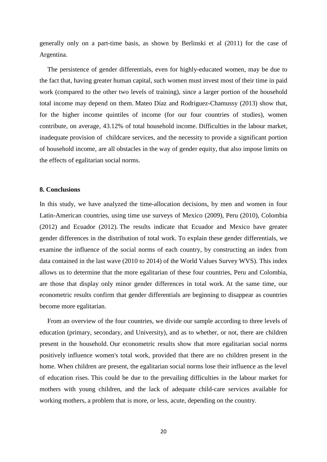generally only on a part-time basis, as shown by Berlinski et al (2011) for the case of Argentina.

The persistence of gender differentials, even for highly-educated women, may be due to the fact that, having greater human capital, such women must invest most of their time in paid work (compared to the other two levels of training), since a larger portion of the household total income may depend on them. Mateo Díaz and Rodriguez-Chamussy (2013) show that, for the higher income quintiles of income (for our four countries of studies), women contribute, on average, 43.12% of total household income. Difficulties in the labour market, inadequate provision of childcare services, and the necessity to provide a significant portion of household income, are all obstacles in the way of gender equity, that also impose limits on the effects of egalitarian social norms.

#### **8. Conclusions**

In this study, we have analyzed the time-allocation decisions, by men and women in four Latin-American countries, using time use surveys of Mexico (2009), Peru (2010), Colombia (2012) and Ecuador (2012). The results indicate that Ecuador and Mexico have greater gender differences in the distribution of total work. To explain these gender differentials, we examine the influence of the social norms of each country, by constructing an index from data contained in the last wave (2010 to 2014) of the World Values Survey WVS). This index allows us to determine that the more egalitarian of these four countries, Peru and Colombia, are those that display only minor gender differences in total work. At the same time, our econometric results confirm that gender differentials are beginning to disappear as countries become more egalitarian.

From an overview of the four countries, we divide our sample according to three levels of education (primary, secondary, and University), and as to whether, or not, there are children present in the household. Our econometric results show that more egalitarian social norms positively influence women's total work, provided that there are no children present in the home. When children are present, the egalitarian social norms lose their influence as the level of education rises. This could be due to the prevailing difficulties in the labour market for mothers with young children, and the lack of adequate child-care services available for working mothers, a problem that is more, or less, acute, depending on the country.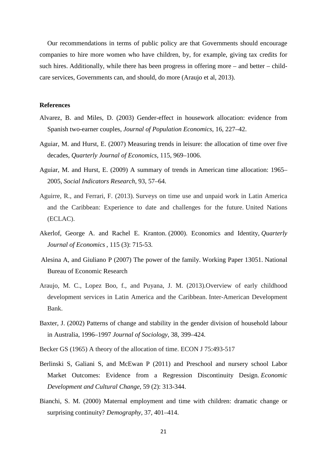Our recommendations in terms of public policy are that Governments should encourage companies to hire more women who have children, by, for example, giving tax credits for such hires. Additionally, while there has been progress in offering more – and better – childcare services, Governments can, and should, do more (Araujo et al, 2013).

### **References**

- Alvarez, B. and Miles, D. (2003) Gender-effect in housework allocation: evidence from Spanish two-earner couples, *Journal of Population Economics*, 16, 227–42.
- Aguiar, M. and Hurst, E. (2007) Measuring trends in leisure: the allocation of time over five decades, *Quarterly Journal of Economics*, 115, 969–1006.
- Aguiar, M. and Hurst, E. (2009) A summary of trends in American time allocation: 1965– 2005, *Social Indicators Research*, 93, 57–64.
- Aguirre, R., and Ferrari, F. (2013). Surveys on time use and unpaid work in Latin America and the Caribbean: Experience to date and challenges for the future. United Nations (ECLAC).
- Akerlof, George A. and Rachel E. Kranton. (2000). Economics and Identity, *Quarterly Journal of Economics* , 115 (3): 715-53.
- Alesina A, and Giuliano P (2007) The power of the family. Working Paper 13051. National Bureau of Economic Research
- Araujo, M. C., Lopez Boo, f., and Puyana, J. M. (2013).Overview of early childhood development services in Latin America and the Caribbean. Inter-American Development Bank.
- Baxter, J. (2002) Patterns of change and stability in the gender division of household labour in Australia, 1996–1997 *Journal of Sociology*, 38, 399–424.
- Becker GS (1965) A theory of the allocation of time. ECON J 75:493-517
- Berlinski S, Galiani S, and McEwan P (2011) and Preschool and nursery school Labor Market Outcomes: Evidence from a Regression Discontinuity Design. *Economic Development and Cultural Change,* 59 (2): 313-344.
- Bianchi, S. M. (2000) Maternal employment and time with children: dramatic change or surprising continuity? *Demography*, 37, 401–414.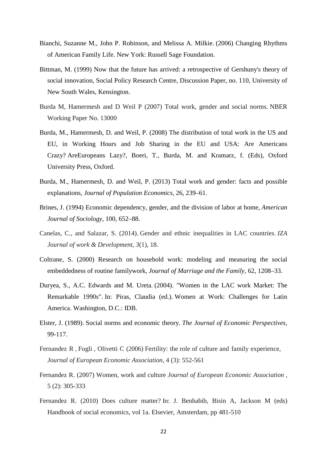- Bianchi, Suzanne M., John P. Robinson, and Melissa A. Milkie. (2006) Changing Rhythms of American Family Life. New York: Russell Sage Foundation.
- Bittman, M. (1999) Now that the future has arrived: a retrospective of Gershuny's theory of social innovation, Social Policy Research Centre, Discussion Paper, no. 110, University of New South Wales, Kensington.
- Burda M, Hamermesh and D Weil P (2007) Total work, gender and social norms. NBER Working Paper No. 13000
- Burda, M., Hamermesh, D. and Weil, P. (2008) The distribution of total work in the US and EU, in Working Hours and Job Sharing in the EU and USA: Are Americans Crazy? AreEuropeans Lazy?, Boeri, T., Burda, M. and Kramarz, f. (Eds), Oxford University Press, Oxford.
- Burda, M., Hamermesh, D. and Weil, P. (2013) Total work and gender: facts and possible explanations, *Journal of Population Economics*, 26, 239–61.
- Brines, J. (1994) Economic dependency, gender, and the division of labor at home, *American Journal of Sociology*, 100, 652–88.
- Canelas, C., and Salazar, S. (2014). Gender and ethnic inequalities in LAC countries. *IZA Journal of work & Development*, *3*(1), 18.
- Coltrane, S. (2000) Research on household work: modeling and measuring the social embeddedness of routine familywork, *Journal of Marriage and the Family*, 62, 1208–33.
- Duryea, S., A.C. Edwards and M. Ureta. (2004). "Women in the LAC work Market: The Remarkable 1990s". In: Piras, Claudia (ed.). Women at Work: Challenges for Latin America. Washington, D.C.: IDB.
- Elster, J. (1989). Social norms and economic theory. *The Journal of Economic Perspectives*, 99-117.
- Fernandez R, Fogli, Olivetti C (2006) Fertility: the role of culture and family experience, *Journal of European Economic Association*, 4 (3): 552-561
- Fernandez R. (2007) Women, work and culture *Journal of European Economic Association* , 5 (2): 305-333
- Fernandez R. (2010) Does culture matter? In: J. Benhabib, Bisin A, Jackson M (eds) Handbook of social economics, vol 1a. Elsevier, Amsterdam, pp 481-510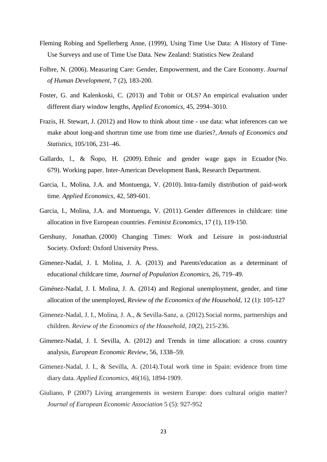- Fleming Robing and Spellerberg Anne, (1999), Using Time Use Data: A History of Time-Use Surveys and use of Time Use Data. New Zealand: Statistics New Zealand
- Folbre, N. (2006). Measuring Care: Gender, Empowerment, and the Care Economy. *Journal of Human Development*, 7 (2), 183-200.
- Foster, G. and Kalenkoski, C. (2013) and Tobit or OLS? An empirical evaluation under different diary window lengths, *Applied Economics*, 45, 2994–3010.
- Frazis, H. Stewart, J. (2012) and How to think about time use data: what inferences can we make about long-and shortrun time use from time use diaries?, *Annals of Economics and Statistics*, 105/106, 231–46.
- Gallardo, l., & Ñopo, H. (2009). Ethnic and gender wage gaps in Ecuador (No. 679). Working paper. Inter-American Development Bank, Research Department.
- Garcia, I., Molina, J.A. and Montuenga, V. (2010). Intra-family distribution of paid-work time. *Applied Economics*, 42, 589-601.
- Garcia, I., Molina, J.A. and Montuenga, V. (2011). Gender differences in childcare: time allocation in five European countries. *Feminist Economics*, 17 (1), 119-150.
- Gershuny, Jonathan. (2000) Changing Times: Work and Leisure in post-industrial Society. Oxford: Oxford University Press.
- Gimenez-Nadal, J. I. Molina, J. A. (2013) and Parents'education as a determinant of educational childcare time, *Journal of Population Economics*, 26, 719–49.
- Giménez-Nadal, J. I. Molina, J. A. (2014) and Regional unemployment, gender, and time allocation of the unemployed, *Review of the Economics of the Household*, 12 (1): 105-127
- Gimenez-Nadal, J. I., Molina, J. A., & Sevilla-Sanz, a. (2012).Social norms, partnerships and children. *Review of the Economics of the Household*, *10*(2), 215-236.
- Gimenez-Nadal, J. I. Sevilla, A. (2012) and Trends in time allocation: a cross country analysis, *European Economic Review*, 56, 1338–59.
- Gimenez-Nadal, J. I., & Sevilla, A. (2014).Total work time in Spain: evidence from time diary data. *Applied Economics*, *46*(16), 1894-1909.
- Giuliano, P (2007) Living arrangements in western Europe: does cultural origin matter? *Journal of European Economic Association* 5 (5): 927-952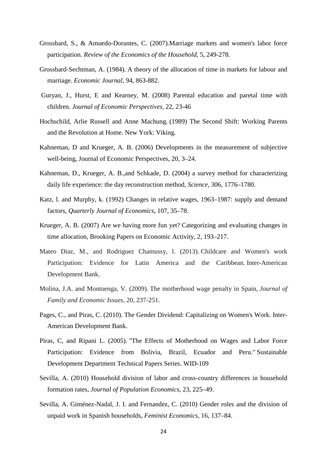- Grossbard, S., & Amuedo-Dorantes, C. (2007).Marriage markets and women's labor force participation. *Review of the Economics of the Household*, 5, 249-278.
- Grossbard-Sechtman, A. (1984). A theory of the allocation of time in markets for labour and marriage. *Economic Journal*, 94, 863-882.
- Guryan, J., Hurst, E and Kearney, M. (2008) Parental education and paretal time with children. *Journal of Economic Perspectives,* 22, 23-46
- Hochschild, Arlie Russell and Anne Machung. (1989) The Second Shift: Working Parents and the Revolution at Home. New York: Viking.
- Kahneman, D and Krueger, A. B. (2006) Developments in the measurement of subjective well-being, Journal of Economic Perspectives, 20, 3–24.
- Kahneman, D., Krueger, A. B.,and Schkade, D. (2004) a survey method for characterizing daily life experience: the day reconstruction method, *Science*, 306, 1776–1780.
- Katz, l. and Murphy, k. (1992) Changes in relative wages, 1963–1987: supply and demand factors, *Quarterly Journal of Economics*, 107, 35–78.
- Krueger, A. B. (2007) Are we having more fun yet? Categorizing and evaluating changes in time allocation, Brooking Papers on Economic Activity, 2, 193–217.
- Mateo Diaz, M., and Rodriguez Chamussy, l. (2013). Childcare and Women's work Participation: Evidence for Latin America and the Caribbean. Inter-American Development Bank.
- Molina, J.A. and Montuenga, V. (2009). The motherhood wage penalty in Spain, *Journal of Family and Economic Issues*, 20, 237-251.
- Pages, C., and Piras, C. (2010). The Gender Dividend: Capitalizing on Women's Work. Inter-American Development Bank.
- Piras, C, and Ripani L. (2005). "The Effects of Motherhood on Wages and Labor Force Participation: Evidence from Bolivia, Brazil, Ecuador and Peru." Sustainable Development Department Technical Papers Series. WID-109
- Sevilla, A. (2010) Household division of labor and cross-country differences in household formation rates, *Journal of Population Economics*, 23, 225–49.
- Sevilla, A. Giménez-Nadal, J. I. and Fernandez, C. (2010) Gender roles and the division of unpaid work in Spanish households, *Feminist Economics*, 16, 137–84.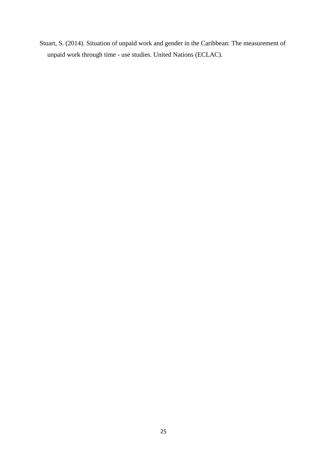Stuart, S. (2014). Situation of unpaid work and gender in the Caribbean: The measurement of unpaid work through time - use studies. United Nations (ECLAC).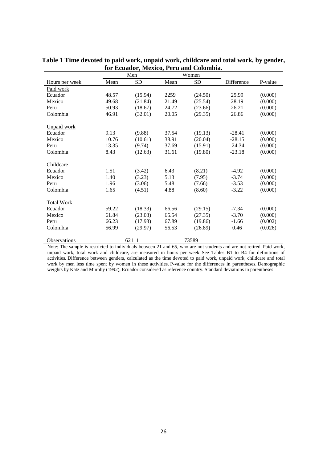|                     |       | Men       |       | Women     |            |         |
|---------------------|-------|-----------|-------|-----------|------------|---------|
| Hours per week      | Mean  | <b>SD</b> | Mean  | <b>SD</b> | Difference | P-value |
| Paid work           |       |           |       |           |            |         |
| Ecuador             | 48.57 | (15.94)   | 2259  | (24.50)   | 25.99      | (0.000) |
| Mexico              | 49.68 | (21.84)   | 21.49 | (25.54)   | 28.19      | (0.000) |
| Peru                | 50.93 | (18.67)   | 24.72 | (23.66)   | 26.21      | (0.000) |
| Colombia            | 46.91 | (32.01)   | 20.05 | (29.35)   | 26.86      | (0.000) |
| <b>Unpaid work</b>  |       |           |       |           |            |         |
| Ecuador             | 9.13  | (9.88)    | 37.54 | (19,13)   | $-28.41$   | (0.000) |
| Mexico              | 10.76 | (10.61)   | 38.91 | (20.04)   | $-28.15$   | (0.000) |
| Peru                | 13.35 | (9.74)    | 37.69 | (15.91)   | $-24.34$   | (0.000) |
| Colombia            | 8.43  | (12.63)   | 31.61 | (19.80)   | $-23.18$   | (0.000) |
| Childcare           |       |           |       |           |            |         |
| Ecuador             | 1.51  | (3.42)    | 6.43  | (8.21)    | $-4.92$    | (0.000) |
| Mexico              | 1.40  | (3.23)    | 5.13  | (7.95)    | $-3.74$    | (0.000) |
| Peru                | 1.96  | (3.06)    | 5.48  | (7.66)    | $-3.53$    | (0.000) |
| Colombia            | 1.65  | (4.51)    | 4.88  | (8.60)    | $-3.22$    | (0.000) |
| <b>Total Work</b>   |       |           |       |           |            |         |
| Ecuador             | 59.22 | (18.33)   | 66.56 | (29.15)   | $-7.34$    | (0.000) |
| Mexico              | 61.84 | (23.03)   | 65.54 | (27.35)   | $-3.70$    | (0.000) |
| Peru                | 66.23 | (17.93)   | 67.89 | (19.86)   | $-1.66$    | (0.002) |
| Colombia            | 56.99 | (29.97)   | 56.53 | (26.89)   | 0.46       | (0.026) |
| <b>Observations</b> |       | 62111     |       | 73589     |            |         |

**Table 1 Time devoted to paid work, unpaid work, childcare and total work, by gender, for Ecuador, Mexico, Peru and Colombia.**

Note: The sample is restricted to individuals between 21 and 65, who are not students and are not retired. Paid work, unpaid work, total work and childcare, are measured in hours per week. See Tables B1 to B4 for definitions of activities. Difference between genders, calculated as the time devoted to paid work, unpaid work, childcare and total work by men less time spent by women in these activities. P-value for the differences in parentheses. Demographic weights by Katz and Murphy (1992), Ecuador considered as reference country. Standard deviations in parentheses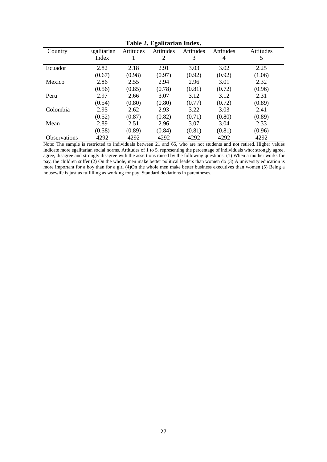|                     |             |           | Table 2: Egantarian maca: |           |           |           |
|---------------------|-------------|-----------|---------------------------|-----------|-----------|-----------|
| Country             | Egalitarian | Attitudes | Attitudes                 | Attitudes | Attitudes | Attitudes |
|                     | Index       |           | $\overline{2}$            | 3         | 4         | 5         |
| Ecuador             | 2.82        | 2.18      | 2.91                      | 3.03      | 3.02      | 2.25      |
|                     | (0.67)      | (0.98)    | (0.97)                    | (0.92)    | (0.92)    | (1.06)    |
| Mexico              | 2.86        | 2.55      | 2.94                      | 2.96      | 3.01      | 2.32      |
|                     | (0.56)      | (0.85)    | (0.78)                    | (0.81)    | (0.72)    | (0.96)    |
| Peru                | 2.97        | 2.66      | 3.07                      | 3.12      | 3.12      | 2.31      |
|                     | (0.54)      | (0.80)    | (0.80)                    | (0.77)    | (0.72)    | (0.89)    |
| Colombia            | 2.95        | 2.62      | 2.93                      | 3.22      | 3.03      | 2.41      |
|                     | (0.52)      | (0.87)    | (0.82)                    | (0.71)    | (0.80)    | (0.89)    |
| Mean                | 2.89        | 2.51      | 2.96                      | 3.07      | 3.04      | 2.33      |
|                     | (0.58)      | (0.89)    | (0.84)                    | (0.81)    | (0.81)    | (0.96)    |
| <b>Observations</b> | 4292        | 4292      | 4292                      | 4292      | 4292      | 4292      |

**Table 2. Egalitarian Index.**

Note: The sample is restricted to individuals between 21 and 65, who are not students and not retired. Higher values indicate more egalitarian social norms. Attitudes of 1 to 5, representing the percentage of individuals who: strongly agree, agree, disagree and strongly disagree with the assertions raised by the following questions: (1) When a mother works for pay, the children suffer (2) On the whole, men make better political leaders than women do (3) A university education is more important for a boy than for a girl (4)On the whole men make better business executives than women (5) Being a housewife is just as fulfilling as working for pay. Standard deviations in parentheses.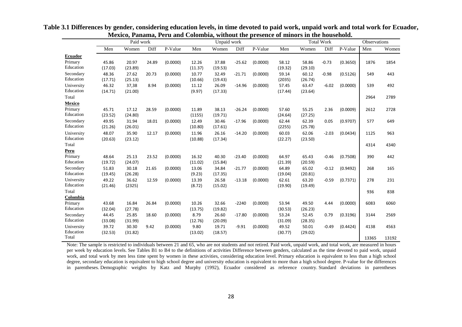|                |         | Paid work |       |          |         | Unpaid work |          |          |         |         | <b>Total Work</b> |          | Observations |       |
|----------------|---------|-----------|-------|----------|---------|-------------|----------|----------|---------|---------|-------------------|----------|--------------|-------|
|                | Men     | Women     | Diff  | P-Value  | Men     | Women       | Diff     | P-Value  | Men     | Women   | Diff              | P-Value  | Men          | Women |
| <b>Ecuador</b> |         |           |       |          |         |             |          |          |         |         |                   |          |              |       |
| Primary        | 45.86   | 20.97     | 24.89 | (0.0000) | 12.26   | 37.88       | $-25.62$ | (0.0000) | 58.12   | 58.86   | $-0.73$           | (0.3650) | 1876         | 1854  |
| Education      | (17.03) | (23.89)   |       |          | (11.37) | (19.53)     |          |          | (19.32) | (29.10) |                   |          |              |       |
| Secondary      | 48.36   | 27.62     | 20.73 | (0.0000) | 10.77   | 32.49       | $-21.71$ | (0.0000) | 59.14   | 60.12   | $-0.98$           | (0.5126) | 549          | 443   |
| Education      | (17.71) | (25.13)   |       |          | (10.66) | (19.43)     |          |          | (2035)  | (26.74) |                   |          |              |       |
| University     | 46.32   | 37,38     | 8.94  | (0.0000) | 11.12   | 26.09       | $-14.96$ | (0.0000) | 57.45   | 63.47   | $-6.02$           | (0.0000) | 539          | 492   |
| Education      | (14.71) | (21.00)   |       |          | (9.97)  | (17.33)     |          |          | (17.44) | (23.64) |                   |          |              |       |
| Total          |         |           |       |          |         |             |          |          |         |         |                   |          | 2964         | 2789  |
| <b>Mexico</b>  |         |           |       |          |         |             |          |          |         |         |                   |          |              |       |
| Primary        | 45.71   | 17.12     | 28.59 | (0.0000) | 11.89   | 38.13       | $-26.24$ | (0.0000) | 57.60   | 55.25   | 2.36              | (0.0009) | 2612         | 2728  |
| Education      | (23.52) | (24.80)   |       |          | (1155)  | (19.71)     |          |          | (24.64) | (27.25) |                   |          |              |       |
| Secondary      | 49.95   | 31.94     | 18.01 | (0.0000) | 12.49   | 30.46       | $-17.96$ | (0.0000) | 62.44   | 62.39   | 0.05              | (0.9707) | 577          | 649   |
| Education      | (21.26) | (26.01)   |       |          | (10.80) | (17.61)     |          |          | (2255)  | (25.78) |                   |          |              |       |
| University     | 48.07   | 35.90     | 12.17 | (0.0000) | 11.96   | 26.16       | $-14.20$ | (0.0000) | 60.03   | 62.06   | $-2.03$           | (0.0434) | 1125         | 963   |
| Education      | (20.63) | (23.12)   |       |          | (10.88) | (17.34)     |          |          | (22.27) | (23.50) |                   |          |              |       |
| Total          |         |           |       |          |         |             |          |          |         |         |                   |          | 4314         | 4340  |
| Peru           |         |           |       |          |         |             |          |          |         |         |                   |          |              |       |
| Primary        | 48.64   | 25.13     | 23.52 | (0.0000) | 16.32   | 40.30       | $-23.40$ | (0.0000) | 64.97   | 65.43   | $-0.46$           | (0.7508) | 390          | 442   |
| Education      | (19.72) | (24.07)   |       |          | (11.02) | (15.84)     |          |          | (21.39) | (20.59) |                   |          |              |       |
| Secondary      | 51.83   | 30.18     | 21.65 | (0.0000) | 13.06   | 34.84       | $-21.77$ | (0.0000) | 64.89   | 65.02   | $-0.12$           | (0.9492) | 268          | 165   |
| Education      | (19.45) | (26.28)   |       |          | (9.23)  | (17.35)     |          |          | (19.04) | (20.81) |                   |          |              |       |
| University     | 49.22   | 36.62     | 12.59 | (0.0000) | 13.39   | 26.58       | $-13.18$ | (0.0000) | 62.61   | 63.20   | $-0.59$           | (0.7371) | 278          | 231   |
| Education      | (21.46) | (2325)    |       |          | (8.72)  | (15.02)     |          |          | (19.90) | (19.49) |                   |          |              |       |
| Total          |         |           |       |          |         |             |          |          |         |         |                   |          | 936          | 838   |
| Colombia       |         |           |       |          |         |             |          |          |         |         |                   |          |              |       |
| Primary        | 43.68   | 16.84     | 26.84 | (0.0000) | 10.26   | 32.66       | $-2240$  | (0.0000) | 53.94   | 49.50   | 4.44              | (0.0000) | 6083         | 6060  |
| Education      | (32.04) | (27.78)   |       |          | (13.75) | (19.82)     |          |          | (30.53) | (26.23) |                   |          |              |       |
| Secondary      | 44.45   | 25.85     | 18.60 | (0.0000) | 8.79    | 26.60       | $-17.80$ | (0.0000) | 53.24   | 52.45   | 0.79              | (0.3196) | 3144         | 2569  |
| Education      | (33.08) | (31.99)   |       |          | (12.76) | (20.09)     |          |          | (31.09) | (28.35) |                   |          |              |       |
| University     | 39.72   | 30.30     | 9.42  | (0.0000) | 9.80    | 19.71       | $-9.91$  | (0.0000) | 49.52   | 50.01   | $-0.49$           | (0.4424) | 4138         | 4563  |
| Education      | (32.53) | (31.82)   |       |          | (13.02) | (18.57)     |          |          | (30.77) | (29.02) |                   |          |              |       |
| Total          |         |           |       |          |         |             |          |          |         |         |                   |          | 13365        | 13192 |

**Table 3.1 Differences by gender, considering education levels, in time devoted to paid work, unpaid work and total work for Ecuador, Mexico, Panama, Peru and Colombia, without the presence of minors in the household.**

Note: The sample is restricted to individuals between 21 and 65, who are not students and not retired. Paid work, unpaid work, and total work, are measured in hours per week by education levels. See Tables B1 to B4 to the definitions of activities Difference between genders, calculated as the time devoted to paid work, unpaid work, and total work by men less time spent by women in these activities, considering education level. Primary education is equivalent to less than a high school degree, secondary education is equivalent to high school degree and university education is equivalent to more than a high school degree. P-value for the differences in parentheses. Demographic weights by Katz and Murphy (1992), Ecuador considered as reference country. Standard deviations in parentheses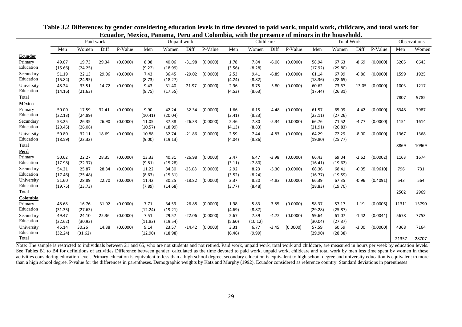|                    |         | Paid work |       |          |         | Unpaid work |          |          |        | Childcare |         |          |         | <b>Total Work</b> |          |          |       | <b>Observations</b> |
|--------------------|---------|-----------|-------|----------|---------|-------------|----------|----------|--------|-----------|---------|----------|---------|-------------------|----------|----------|-------|---------------------|
|                    | Men     | Women     | Diff  | P-Value  | Men     | Women       | Diff     | P-Value  | Men    | Women     | Diff    | P-Value  | Men     | Women             | Diff     | P-Value  | Men   | Women               |
| Ecuador            |         |           |       |          |         |             |          |          |        |           |         |          |         |                   |          |          |       |                     |
| Primary            | 49.07   | 19.73     | 29.34 | (0.0000) | 8.08    | 40.06       | $-31.98$ | (0.0000) | 1.78   | 7.84      | $-6.06$ | (0.0000) | 58.94   | 67.63             | $-8.69$  | (0.0000) | 5205  | 6643                |
| Education          | (15.66) | (24.25)   |       |          | (9.22)  | (18.99)     |          |          | (3.56) | (8.28)    |         |          | (17.92) | (29.80)           |          |          |       |                     |
| Secundary          | 51.19   | 22.13     | 29.06 | (0.0000) | 7.43    | 36.45       | $-29.02$ | (0.0000) | 2.53   | 9.41      | $-6.89$ | (0.0000) | 61.14   | 67.99             | $-6.86$  | (0.0000) | 1599  | 1925                |
| Education          | (15.84) | (24.95)   |       |          | (8.73)  | (18.27)     |          |          | (4.24) | (8.82)    |         |          | (18.36) | (28.65)           |          |          |       |                     |
| University         | 48.24   | 33.51     | 14.72 | (0.0000) | 9.43    | 31.40       | $-21.97$ | (0.0000) | 2.96   | 8.75      | $-5.80$ | (0.0000) | 60.62   | 73.67             | $-13.05$ | (0.0000) | 1003  | 1217                |
| Education          | (14.16) | (21.63)   |       |          | (9.75)  | (17.55)     |          |          | (4.53) | (8.63)    |         |          | (17.44) | (26.31)           |          |          |       |                     |
| Total              |         |           |       |          |         |             |          |          |        |           |         |          |         |                   |          |          | 7807  | 9785                |
| México             |         |           |       |          |         |             |          |          |        |           |         |          |         |                   |          |          |       |                     |
| Primary            | 50.00   | 17.59     | 32.41 | (0.0000) | 9.90    | 42.24       | $-32.34$ | (0.0000) | 1.66   | 6.15      | $-4.48$ | (0.0000) | 61.57   | 65.99             | $-4.42$  | (0.0000) | 6348  | 7987                |
| Education          | (22.13) | (24.89)   |       |          | (10.41) | (20.04)     |          |          | (3.41) | (8.23)    |         |          | (23.11) | (27.26)           |          |          |       |                     |
| Secundary          | 53.25   | 26.35     | 26.90 | (0.0000) | 11.05   | 37.38       | $-26.33$ | (0.0000) | 2.46   | 7.80      | $-5.34$ | (0.0000) | 66.76   | 71.52             | $-4.77$  | (0.0000) | 1154  | 1614                |
| Education          | (20.45) | (26.08)   |       |          | (10.57) | (18.99)     |          |          | (4.13) | (8.83)    |         |          | (21.91) | (26.83)           |          |          |       |                     |
| University         | 50.80   | 32.11     | 18.69 | (0.0000) | 10.88   | 32.74       | $-21.86$ | (0.0000) | 2.59   | 7.44      | $-4.83$ | (0.0000) | 64.29   | 72.29             | $-8.00$  | (0.0000) | 1367  | 1368                |
| Education          | (18.59) | (22.32)   |       |          | (9.00)  | (19.13)     |          |          | (4.04) | (8.86)    |         |          | (19.80) | (25.77)           |          |          |       |                     |
| Total              |         |           |       |          |         |             |          |          |        |           |         |          |         |                   |          |          | 8869  | 10969               |
| Perú               |         |           |       |          |         |             |          |          |        |           |         |          |         |                   |          |          |       |                     |
| Primary            | 50.62   | 22.27     | 28.35 | (0.0000) | 13.33   | 40.31       | $-26.98$ | (0.0000) | 2.47   | 6.47      | $-3.98$ | (0.0000) | 66.43   | 69.04             | $-2.62$  | (0.0002) | 1163  | 1674                |
| Education          | (17.98) | (22.37)   |       |          | (9.81)  | (15.28)     |          |          | (3.11) | (7.80)    |         |          | (16.41) | (19.62)           |          |          |       |                     |
| Secundary          | 54.21   | 25.87     | 28.34 | (0.0000) | 11.22   | 34.30       | $-23.08$ | (0.0000) | 2.92   | 8.23      | $-5.30$ | (0.0000) | 68.36   | 68.41             | $-0.05$  | (0.9610) | 796   | 731                 |
| Education          | (17.46) | (25.48)   |       |          | (8.63)  | (15.31)     |          |          | (3.52) | (8.24)    |         |          | (16.77) | (19.59)           |          |          |       |                     |
| University         | 51.60   | 28.89     | 22.70 | (0.0000) | 11.42   | 30.25       | $-18.82$ | (0.0000) | 3.37   | 8.20      | $-4.83$ | (0.0000) | 66.39   | 67.35             | $-0.96$  | (0.4091) | 543   | 564                 |
| Education          | (19.75) | (23.73)   |       |          | (7.89)  | (14.68)     |          |          | (3.77) | (8.48)    |         |          | (18.83) | (19.70)           |          |          |       |                     |
| Total              |         |           |       |          |         |             |          |          |        |           |         |          |         |                   |          |          | 2502  | 2969                |
| <b>Colombia</b>    |         |           |       |          |         |             |          |          |        |           |         |          |         |                   |          |          |       |                     |
| Primary            | 48.68   | 16.76     | 31.92 | (0.0000) | 7.71    | 34.59       | $-26.88$ | (0.0000) | 1.98   | 5.83      | $-3.85$ | (0.0000) | 58.37   | 57.17             | 1.19     | (0.0006) | 11311 | 13790               |
| Education          | (31.35) | (27.63)   |       |          | (12.24) | (19.21)     |          |          | (4.69) | (8.87)    |         |          | (29.28) | (25.87)           |          |          |       |                     |
| Secundary          | 49.47   | 24.10     | 25.36 | (0.0000) | 7.51    | 29.57       | $-22.06$ | (0.0000) | 2.67   | 7.39      | $-4.72$ | (0.0000) | 59.64   | 61.07             | $-1.42$  | (0.0044) | 5678  | 7753                |
| Education          | (32.62) | (30.93)   |       |          | (11.83) | (19.54)     |          |          | (5.60) | (10.12)   |         |          | (30.04) | (27.37)           |          |          |       |                     |
| University         | 45.14   | 30.26     | 14.88 | (0.0000) | 9.14    | 23.57       | $-14.42$ | (0.0000) | 3.31   | 6.77      | -3.45   | (0.0000) | 57.59   | 60.59             | $-3.00$  | (0.0000) | 4368  | 7164                |
| Education<br>Total | (32.24) | (31.62)   |       |          | (12.90) | (18.98)     |          |          | (6.46) | (9.99)    |         |          | (29.90) | (28.38)           |          |          |       |                     |
|                    |         |           |       |          |         |             |          |          |        |           |         |          |         |                   |          |          | 21357 | 28707               |

**Table 3.2 Differences by gender considering education levels in time devoted to paid work, unpaid work, childcare, and total work for Ecuador, Mexico, Panama, Peru and Colombia, with the presence of minors in the household.**

j.

Note: The sample is restricted to individuals between 21 and 65, who are not students and not retired. Paid work, unpaid work, total work and childcare, are measured in hours per week by education levels. See Tables B1 to B4 for definitions of activities Difference between gender, calculated as the time devoted to paid work, unpaid work, childcare and total work by men less time spent by women in these activities considering education level. Primary education is equivalent to less than a high school degree, secondary education is equivalent to high school degree and university education is equivalent to more than a high school degree. P-value for the differences in parentheses. Demographic weights by Katz and Murphy (1992), Ecuador considered as reference country. Standard deviations in parentheses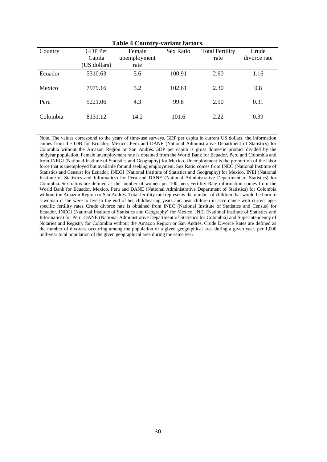| <b>Table 4 Country-variant factors.</b> |                |              |           |                        |              |  |  |  |  |  |
|-----------------------------------------|----------------|--------------|-----------|------------------------|--------------|--|--|--|--|--|
| Country                                 | <b>GDP</b> Per | Female       | Sex Ratio | <b>Total Fertility</b> | Crude        |  |  |  |  |  |
|                                         | Capita         | unemployment |           | rate                   | divorce rate |  |  |  |  |  |
|                                         | (US dollars)   | rate         |           |                        |              |  |  |  |  |  |
| Ecuador                                 | 5310.63        | 5.6          | 100.91    | 2.60                   | 1.16         |  |  |  |  |  |
| Mexico                                  | 7979.16        | 5.2          | 102.61    | 2.30                   | 0.8          |  |  |  |  |  |
| Peru                                    | 5221.06        | 4.3          | 99.8      | 2.50                   | 0.31         |  |  |  |  |  |
| Colombia                                | 8131.12        | 14.2         | 101.6     | 2.22                   | 0.39         |  |  |  |  |  |

Note. The values correspond to the years of time-use surveys. GDP per capita in current US dollars, the information comes from the IDB for Ecuador, Mexico, Peru and DANE (National Administrative Department of Statistics) for Colombia without the Amazon Region or San Andrés. GDP per capita is gross domestic product divided by the midyear population. Female unemployment rate is obtained from the World Bank for Ecuador, Peru and Colombia and from INEGI (National Institute of Statistics and Geography) for Mexico. Unemployment is the proportion of the labor force that is unemployed but available for and seeking employment. Sex Ratio comes from INEC (National Institute of Statistics and Census) for Ecuador, INEGI (National Institute of Statistics and Geography) for Mexico, INEI (National Institute of Statistics and Informatics) for Peru and DANE (National Administrative Department of Statistics) for Colombia. Sex ratios are defined as the number of women per 100 men. Fertility Rate information comes from the World Bank for Ecuador, Mexico, Peru and DANE (National Administrative Department of Statistics) for Colombia without the Amazon Region or San Andrés. Total fertility rate represents the number of children that would be born to a woman if she were to live to the end of her childbearing years and bear children in accordance with current agespecific fertility rates. Crude divorce rate is obtained from INEC (National Institute of Statistics and Census) for Ecuador, INEGI (National Institute of Statistics and Geography) for Mexico, INEI (National Institute of Statistics and Informatics) for Peru, DANE (National Administrative Department of Statistics for Colombia) and Superintendency of Notaries and Registry for Colombia without the Amazon Region or San Andrés. Crude Divorce Rates are defined as the number of divorces occurring among the population of a given geographical area during a given year, per 1,000 mid-year total population of the given geographical area during the same year.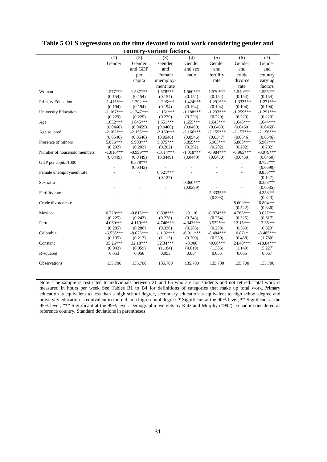|                             | (1)         | (2)         | (3)         | (4)         | (5)         | (6)         | (7)         |
|-----------------------------|-------------|-------------|-------------|-------------|-------------|-------------|-------------|
|                             | Gender      | Gender      | Gender      | Gender      | Gender      | Gender      | Gender      |
|                             |             | and GDP     | and         | and sex     | and         | and         | and         |
|                             |             | per         | Female      | ratio       | fertility   | crude       | country     |
|                             |             | capita      | unemploy-   |             | rate        | divorce     | varying     |
|                             |             |             | ment rate   |             |             | rate        | factors     |
| Woman                       | $1.577***$  | $1.587***$  | $1.578***$  | $1.560***$  | $1.570***$  | $1.540***$  | $1.555***$  |
|                             | (0.154)     | (0.154)     | (0.154)     | (0.154)     | (0.154)     | (0.154)     | (0.154)     |
| Primary Education           | $-1.415***$ | $-1.292***$ | $-1.396***$ | $-1.424***$ | $-1.291***$ | $-1.333***$ | $-1.271***$ |
|                             | (0.194)     | (0.194)     | (0.194)     | (0.194)     | (0.194)     | (0.194)     | (0.194)     |
| University Education        | $-1.167***$ | $-1.247***$ | $-1.161***$ | $-1.188***$ | $-1.233***$ | $-1.259***$ | $-1.291***$ |
|                             | (0.229)     | (0.229)     | (0.229)     | (0.229)     | (0.229)     | (0.229)     | (0.229)     |
| Age                         | $1.652***$  | $1.645***$  | $1.651***$  | $1.655***$  | $1.645***$  | $1.646***$  | $1.644***$  |
|                             | (0.0460)    | (0.0459)    | (0.0460)    | (0.0460)    | (0.0460)    | (0.0460)    | (0.0459)    |
| Age squared                 | $-2.162***$ | $-2.155***$ | $-2.160***$ | $-2.166***$ | $-2.155***$ | $-2.157***$ | $-2.156***$ |
|                             | (0.0546)    | (0.0546)    | (0.0546)    | (0.0546)    | (0.0547)    | (0.0546)    | (0.0546)    |
| Presence of minors          | 5.866***    | 5.903***    | 5.875***    | 5.859***    | 5.905***    | 5.888***    | 5.907***    |
|                             | (0.202)     | (0.202)     | (0.202)     | (0.202)     | (0.202)     | (0.202)     | (0.202)     |
| Number of household members | $-1.016***$ | $-0.999***$ | $-1.014***$ | $-1.018***$ | $-0.984***$ | $-0.965***$ | $-0.979***$ |
|                             | (0.0449)    | (0.0449)    | (0.0449)    | (0.0449)    | (0.0450)    | (0.0450)    | (0.0450)    |
| GDP per capita/1000         |             | $0.578***$  |             |             |             |             | $0.722***$  |
|                             |             | (0.0343)    |             |             |             |             | (0.0590)    |
| Female unemployment rate    |             |             | $0.521***$  |             |             |             | $0.855***$  |
|                             |             |             | (0.127)     |             |             |             | (0.147)     |
| Sex ratio                   |             |             |             | $0.360***$  |             |             | $0.253***$  |
|                             |             |             |             | (0.0389)    |             |             | (0.0535)    |
| Fertility rate              |             |             |             | ÷.          | $-5.333***$ |             | 4.358***    |
|                             |             |             |             |             | (0.393)     |             | (0.843)     |
| Crude divorce rate          |             |             |             |             |             | 8.609***    | $6.894***$  |
|                             |             |             |             |             |             | (0.522)     | (0.830)     |
| Mexico                      | $0.728***$  | $-0.815***$ | $0.898***$  | $-0.116$    | $-0.874***$ | 4.766***    | $3.027***$  |
|                             | (0.225)     | (0.243)     | (0.228)     | (0.243)     | (0.254)     | (0.325)     | (0.617)     |
| Peru                        | 4.069***    | 4.119***    | 4.746***    | 4.343***    | $3.532***$  | $12.15***$  | $12.35***$  |
|                             | (0.285)     | (0.286)     | (0.330)     | (0.286)     | (0.288)     | (0.560)     | (0.823)     |
| Colombia                    | $-6.538***$ | $-8.025***$ | $-11.02***$ | $-6.911***$ | $-8.484***$ | $0.871*$    | $-8.485***$ |
|                             | (0.195)     | (0.213)     | (1.113)     | (0.200)     | (0.239)     | (0.488)     | (1.780)     |
| Constant                    | 35.26***    | 32.18***    | 32.34***    | $-0.908$    | 49.06***    | 24.40***    | $-18.84***$ |
|                             | (0.943)     | (0.959)     | (1.184)     | (4.019)     | (1.386)     | (1.149)     | (5.227)     |
| R-squared                   | 0.053       | 0.056       | 0.053       | 0.054       | 0.055       | 0.055       | 0.057       |
|                             |             |             |             |             |             |             |             |
| Observations                | 135.700     | 135.700     | 135.700     | 135.700     | 135.700     | 135.700     | 135.700     |
|                             |             |             |             |             |             |             |             |

#### **Table 5 OLS regressions on the time devoted to total work considering gender and country-variant factors.**

Note: The sample is restricted to individuals between 21 and 65 who are not students and not retired. Total work is measured in hours per week. See Tables B1 to B4 for definitions of categories that make up total work. Primary education is equivalent to less than a high school degree, secondary education is equivalent to high school degree and university education is equivalent to more than a high school degree. \* Significant at the 90% level; \*\* Significant at the 95% level; \*\*\* Significant at the 99% level. Demographic weights by Katz and Murphy (1992), Ecuador considered as reference country. Standard deviations in parentheses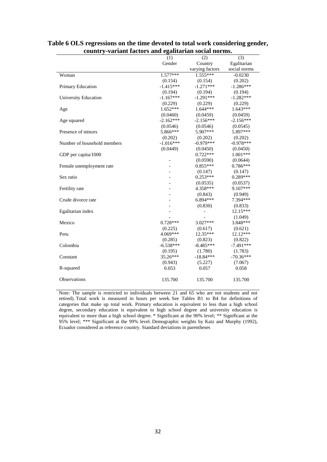|                             | (1)         | (2)             | (3)          |
|-----------------------------|-------------|-----------------|--------------|
|                             | Gender      | Country         | Egalitarian  |
|                             |             | varying factors | social norms |
| Woman                       | $1.577***$  | $1.555***$      | $-0.0230$    |
|                             | (0.154)     | (0.154)         | (0.202)      |
| Primary Education           | $-1.415***$ | $-1.271***$     | $-1.286***$  |
|                             | (0.194)     | (0.194)         | (0.194)      |
| <b>University Education</b> | $-1.167***$ | $-1.291***$     | $-1.282***$  |
|                             | (0.229)     | (0.229)         | (0.229)      |
| Age                         | $1.652***$  | $1.644***$      | $1.643***$   |
|                             | (0.0460)    | (0.0459)        | (0.0459)     |
| Age squared                 | $-2.162***$ | $-2.156***$     | $-2.156***$  |
|                             | (0.0546)    | (0.0546)        | (0.0545)     |
| Presence of minors          | 5.866***    | 5.907***        | 5.897***     |
|                             | (0.202)     | (0.202)         | (0.202)      |
| Number of household members | $-1.016***$ | $-0.979***$     | $-0.978***$  |
|                             | (0.0449)    | (0.0450)        | (0.0450)     |
| GDP per capita/1000         |             | $0.722***$      | $1.001***$   |
|                             |             | (0.0590)        | (0.0644)     |
| Female unemployment rate    |             | $0.855***$      | $0.786***$   |
|                             |             | (0.147)         | (0.147)      |
| Sex ratio                   |             | $0.253***$      | $0.289***$   |
|                             |             | (0.0535)        | (0.0537)     |
| Fertility rate              |             | 4.358***        | 9.107***     |
|                             |             | (0.843)         | (0.949)      |
| Crude divorce rate          |             | $6.894***$      | 7.394***     |
|                             |             | (0.830)         | (0.833)      |
| Egalitarian index           |             | $\frac{1}{2}$   | $12.15***$   |
|                             |             |                 | (1.049)      |
| Mexico                      | $0.728***$  | $3.027***$      | 3.848***     |
|                             | (0.225)     | (0.617)         | (0.621)      |
| Peru                        | 4.069***    | $12.35***$      | 12.12***     |
|                             | (0.285)     | (0.823)         | (0.822)      |
| Colombia                    | $-6.538***$ | $-8.485***$     | $-7.491***$  |
|                             | (0.195)     | (1.780)         | (1.783)      |
| Constant                    | 35.26***    | $-18.84***$     | $-70.36***$  |
|                             | (0.943)     | (5.227)         | (7.067)      |
| R-squared                   | 0.053       | 0.057           | 0.058        |
|                             |             |                 |              |
| Observations                | 135.700     | 135.700         | 135.700      |

#### **Table 6 OLS regressions on the time devoted to total work considering gender, country-variant factors and egalitarian social norms.**

Note: The sample is restricted to individuals between 21 and 65 who are not students and not retired). Total work is measured in hours per week. See Tables B1 to B4 for definitions of categories that make up total work. Primary education is equivalent to less than a high school degree, secondary education is equivalent to high school degree and university education is equivalent to more than a high school degree. \* Significant at the 90% level; \*\* Significant at the 95% level; \*\*\* Significant at the 99% level. Demographic weights by Katz and Murphy (1992), Ecuador considered as reference country. Standard deviations in parentheses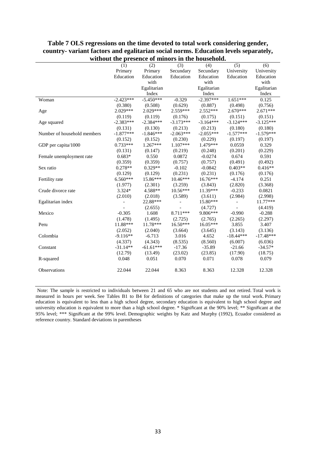|                             | (1)                      | (2)         | (3)            | (4)         | (5)            | (6)         |
|-----------------------------|--------------------------|-------------|----------------|-------------|----------------|-------------|
|                             | Primary                  | Primary     | Secundary      | Secundary   | University     | University  |
|                             | Education                | Education   | Education      | Education   | Education      | Education   |
|                             |                          | with        |                | with        |                | with        |
|                             |                          | Egalitarian |                | Egalitarian |                | Egalitarian |
|                             |                          | Index       |                | Index       |                | Index       |
| Woman                       | $-2.423***$              | $-5.450***$ | $-0.329$       | $-2.397***$ | $1.651***$     | 0.125       |
|                             | (0.380)                  | (0.508)     | (0.629)        | (0.887)     | (0.498)        | (0.756)     |
| Age                         | $2.029***$               | $2.029***$  | $2.559***$     | $2.552***$  | $2.670***$     | $2.671***$  |
|                             | (0.119)                  | (0.119)     | (0.176)        | (0.175)     | (0.151)        | (0.151)     |
| Age squared                 | $-2.383***$              | $-2.384***$ | $-3.173***$    | $-3.164***$ | $-3.124***$    | $-3.125***$ |
|                             | (0.131)                  | (0.130)     | (0.213)        | (0.213)     | (0.180)        | (0.180)     |
| Number of household members | $-1.877***$              | $-1.846***$ | $-2.063***$    | $-2.055***$ | $-1.577***$    | $-1.579***$ |
|                             | (0.152)                  | (0.152)     | (0.230)        | (0.229)     | (0.197)        | (0.197)     |
| GDP per capita/1000         | $0.733***$               | $1.267***$  | $1.107***$     | 1.479***    | 0.0559         | 0.329       |
|                             | (0.131)                  | (0.147)     | (0.219)        | (0.248)     | (0.201)        | (0.229)     |
| Female unemployment rate    | $0.683*$                 | 0.550       | 0.0872         | $-0.0274$   | 0.674          | 0.591       |
|                             | (0.359)                  | (0.359)     | (0.757)        | (0.757)     | (0.491)        | (0.492)     |
| Sex ratio                   | $0.278**$                | $0.329**$   | $-0.102$       | $-0.0842$   | $0.403**$      | $0.416**$   |
|                             | (0.129)                  | (0.129)     | (0.231)        | (0.231)     | (0.176)        | (0.176)     |
| Fertility rate              | 6.560***                 | 15.86***    | $10.46***$     | 16.76***    | $-4.174$       | 0.251       |
|                             | (1.977)                  | (2.301)     | (3.259)        | (3.843)     | (2.820)        | (3.368)     |
| Crude divorce rate          | 3.324*                   | 4.588**     | 10.56***       | 11.39***    | $-0.233$       | 0.0821      |
|                             | (2.010)                  | (2.018)     | (3.589)        | (3.611)     | (2.984)        | (2.998)     |
| Egalitarian index           | $\overline{\phantom{m}}$ | 22.88***    | $\overline{a}$ | 15.80***    | $\overline{a}$ | 11.77***    |
|                             |                          | (2.655)     |                | (4.727)     |                | (4.419)     |
| Mexico                      | $-0.305$                 | 1.608       | 8.711***       | 9.806***    | $-0.990$       | $-0.288$    |
|                             | (1.478)                  | (1.495)     | (2.725)        | (2.765)     | (2.265)        | (2.297)     |
| Peru                        | 11.88***                 | 11.78***    | 16.50***       | $16.05***$  | 3.855          | 3.407       |
|                             | (2.052)                  | (2.040)     | (3.664)        | (3.645)     | (3.143)        | (3.136)     |
| Colombia                    | $-9.116**$               | $-6.713$    | 3.016          | 4.652       | $-18.44***$    | $-17.48***$ |
|                             | (4.337)                  | (4.343)     | (8.535)        | (8.560)     | (6.007)        | (6.036)     |
| Constant                    | $-31.14**$               | $-61.61***$ | $-17.36$       | $-35.89$    | $-21.66$       | $-34.57*$   |
|                             | (12.79)                  | (13.49)     | (23.02)        | (23.85)     | (17.90)        | (18.75)     |
| R-squared                   | 0.048                    | 0.051       | 0.070          | 0.071       | 0.078          | 0.079       |
|                             |                          | 22.044      | 8.363          |             |                |             |
| Observations                | 22.044                   |             |                | 8.363       | 12.328         | 12.328      |
|                             |                          |             |                |             |                |             |

#### **Table 7 OLS regressions on the time devoted to total work considering gender, country- variant factors and egalitarian social norms. Education levels separately, without the presence of minors in the household.**

Note: The sample is restricted to individuals between 21 and 65 who are not students and not retired. Total work is measured in hours per week. See Tables B1 to B4 for definitions of categories that make up the total work. Primary education is equivalent to less than a high school degree, secondary education is equivalent to high school degree and university education is equivalent to more than a high school degree. \* Significant at the 90% level; \*\* Significant at the 95% level; \*\*\* Significant at the 99% level. Demographic weights by Katz and Murphy (1992), Ecuador considered as reference country. Standard deviations in parentheses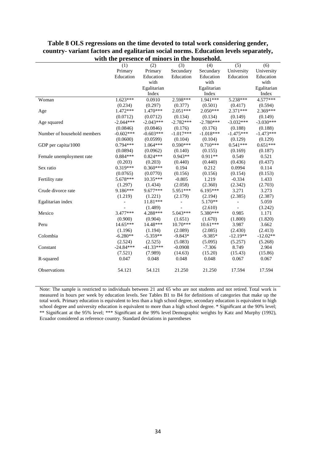|                             |             | presence or immors in the nousehold. |             |             |                |             |
|-----------------------------|-------------|--------------------------------------|-------------|-------------|----------------|-------------|
|                             | (1)         | (2)                                  | (3)         | (4)         | (5)            | (6)         |
|                             | Primary     | Primary                              | Secundary   | Secundary   | University     | University  |
|                             | Education   | Education                            | Education   | Education   | Education      | Education   |
|                             |             | with                                 |             | with        |                | with        |
|                             |             | Egalitarian                          |             | Egalitarian |                | Egalitarian |
|                             |             | Index                                |             | Index       |                | Index       |
| Woman                       | $1.623***$  | 0.0910                               | 2.598***    | $1.941***$  | 5.238***       | 4.577***    |
|                             | (0.234)     | (0.297)                              | (0.377)     | (0.501)     | (0.417)        | (0.594)     |
| Age                         | $1.472***$  | $1.470***$                           | $2.051***$  | 2.050***    | $2.371***$     | 2.369***    |
|                             | (0.0712)    | (0.0712)                             | (0.134)     | (0.134)     | (0.149)        | (0.149)     |
| Age squared                 | $-2.044***$ | $-2.043***$                          | $-2.782***$ | $-2.780***$ | $-3.032***$    | $-3.030***$ |
|                             | (0.0846)    | (0.0846)                             | (0.176)     | (0.176)     | (0.188)        | (0.188)     |
| Number of household members | $-0.602***$ | $-0.603***$                          | $-1.017***$ | $-1.018***$ | $-1.475***$    | $-1.473***$ |
|                             | (0.0600)    | (0.0599)                             | (0.104)     | (0.104)     | (0.129)        | (0.129)     |
| GDP per capita/1000         | $0.794***$  | $1.064***$                           | $0.590***$  | $0.710***$  | $0.541***$     | $0.651***$  |
|                             | (0.0894)    | (0.0962)                             | (0.140)     | (0.155)     | (0.169)        | (0.187)     |
| Female unemployment rate    | $0.884***$  | $0.824***$                           | $0.943**$   | $0.911**$   | 0.549          | 0.521       |
|                             | (0.203)     | (0.203)                              | (0.440)     | (0.440)     | (0.436)        | (0.437)     |
| Sex ratio                   | $0.319***$  | $0.360***$                           | 0.194       | 0.212       | 0.0994         | 0.114       |
|                             | (0.0765)    | (0.0770)                             | (0.156)     | (0.156)     | (0.154)        | (0.153)     |
| Fertility rate              | 5.678***    | $10.35***$                           | $-0.805$    | 1.219       | $-0.334$       | 1.433       |
|                             | (1.297)     | (1.434)                              | (2.058)     | (2.360)     | (2.342)        | (2.703)     |
| Crude divorce rate          | 9.186***    | 9.677***                             | 5.951***    | $6.195***$  | 3.271          | 3.273       |
|                             | (1.219)     | (1.221)                              | (2.179)     | (2.194)     | (2.385)        | (2.387)     |
| Egalitarian index           |             | 11.81***                             |             | 5.170**     | $\overline{a}$ | 5.059       |
|                             |             | (1.489)                              |             | (2.610)     |                | (3.242)     |
| Mexico                      | $3.477***$  | 4.288***                             | 5.043***    | 5.380***    | 0.985          | 1.171       |
|                             | (0.900)     | (0.904)                              | (1.651)     | (1.670)     | (1.800)        | (1.820)     |
| Peru                        | $14.65***$  | 14.48***                             | $10.70***$  | $10.61***$  | 3.987          | 3.662       |
|                             | (1.196)     | (1.194)                              | (2.089)     | (2.085)     | (2.430)        | (2.413)     |
| Colombia                    | $-6.280**$  | $-5.359**$                           | $-9.843*$   | $-9.385*$   | $-12.19**$     | $-12.02**$  |
|                             | (2.524)     | (2.525)                              | (5.083)     | (5.095)     | (5.257)        | (5.268)     |
| Constant                    | $-24.84***$ | $-41.33***$                          | $-0.0908$   | $-7.306$    | 8.749          | 2.904       |
|                             | (7.521)     | (7.989)                              | (14.63)     | (15.20)     | (15.43)        | (15.86)     |
| R-squared                   | 0.047       | 0.048                                | 0.048       | 0.048       | 0.067          | 0.067       |
| <b>Observations</b>         | 54.121      | 54.121                               | 21.250      | 21.250      | 17.594         | 17.594      |
|                             |             |                                      |             |             |                |             |

#### **Table 8 OLS regressions on the time devoted to total work considering gender, country- variant factors and egalitarian social norms. Education levels separately, with the presence of minors in the household.**

Note: The sample is restricted to individuals between 21 and 65 who are not students and not retired. Total work is measured in hours per week by education levels. See Tables B1 to B4 for definitions of categories that make up the total work. Primary education is equivalent to less than a high school degree, secondary education is equivalent to high school degree and university education is equivalent to more than a high school degree. \* Significant at the 90% level; \*\* Significant at the 95% level; \*\*\* Significant at the 99% level Demographic weights by Katz and Murphy (1992), Ecuador considered as reference country. Standard deviations in parentheses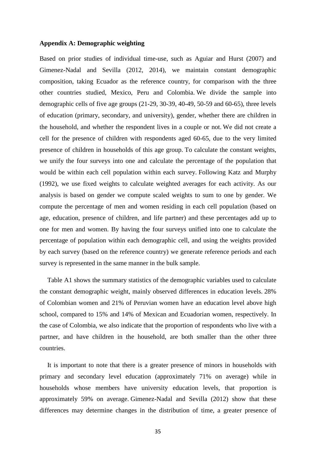#### **Appendix A: Demographic weighting**

Based on prior studies of individual time-use, such as Aguiar and Hurst (2007) and Gimenez-Nadal and Sevilla (2012, 2014), we maintain constant demographic composition, taking Ecuador as the reference country, for comparison with the three other countries studied, Mexico, Peru and Colombia. We divide the sample into demographic cells of five age groups (21-29, 30-39, 40-49, 50-59 and 60-65), three levels of education (primary, secondary, and university), gender, whether there are children in the household, and whether the respondent lives in a couple or not. We did not create a cell for the presence of children with respondents aged 60-65, due to the very limited presence of children in households of this age group. To calculate the constant weights, we unify the four surveys into one and calculate the percentage of the population that would be within each cell population within each survey. Following Katz and Murphy (1992), we use fixed weights to calculate weighted averages for each activity. As our analysis is based on gender we compute scaled weights to sum to one by gender. We compute the percentage of men and women residing in each cell population (based on age, education, presence of children, and life partner) and these percentages add up to one for men and women. By having the four surveys unified into one to calculate the percentage of population within each demographic cell, and using the weights provided by each survey (based on the reference country) we generate reference periods and each survey is represented in the same manner in the bulk sample.

Table A1 shows the summary statistics of the demographic variables used to calculate the constant demographic weight, mainly observed differences in education levels. 28% of Colombian women and 21% of Peruvian women have an education level above high school, compared to 15% and 14% of Mexican and Ecuadorian women, respectively. In the case of Colombia, we also indicate that the proportion of respondents who live with a partner, and have children in the household, are both smaller than the other three countries.

It is important to note that there is a greater presence of minors in households with primary and secondary level education (approximately 71% on average) while in households whose members have university education levels, that proportion is approximately 59% on average. Gimenez-Nadal and Sevilla (2012) show that these differences may determine changes in the distribution of time, a greater presence of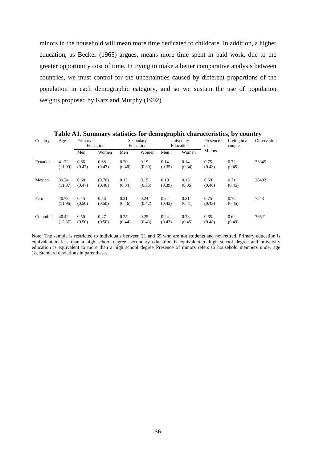minors in the household will mean more time dedicated to childcare. In addition, a higher education, as Becker (1965) argues, means more time spent in paid work, due to the greater opportunity cost of time. In trying to make a better comparative analysis between countries, we must control for the uncertainties caused by different proportions of the population in each demographic category, and so we sustain the use of population weights proposed by Katz and Murphy (1992).

|          |                  |                |                  |                |                        |                |                         |                | Tuble into Dummury buttoned for achieverupine enuructed button by country |                     |
|----------|------------------|----------------|------------------|----------------|------------------------|----------------|-------------------------|----------------|---------------------------------------------------------------------------|---------------------|
| Country  | Age              | Primary        | Education        |                | Secondary<br>Education |                | University<br>Education | Presence<br>of | Living in a<br>couple                                                     | <b>Observations</b> |
|          |                  | Men            | Women            | Men            | Women                  | Men            | Women                   | <b>Minors</b>  |                                                                           |                     |
| Ecuador  | 41.22<br>(11.99) | 0.66<br>(0.47) | 0.68<br>(0.47)   | 0.20<br>(0.40) | 0.19<br>(0.39)         | 0.14<br>(0.35) | 0.14<br>(0.34)          | 0.75<br>(0.43) | 0.72<br>(0.45)                                                            | 23345               |
| Mexico   | 39.24<br>(11.87) | 0.68<br>(0.47) | (0.70)<br>(0.46) | 0.13<br>(0.34) | 0.15<br>(0.35)         | 0.19<br>(0.39) | 0.15<br>(0.36)          | 0.69<br>(0.46) | 0.71<br>(0.45)                                                            | 28492               |
| Peru     | 40.73<br>(11.96) | 0.45<br>(0.50) | 0.56<br>(0.50)   | 0.31<br>(0.46) | 0.24<br>(0.42)         | 0.24<br>(0.43) | 0.21<br>(0.41)          | 0.75<br>(0.43) | 0.72<br>(0.45)                                                            | 7243                |
| Colombia | 40.42<br>(12.37) | 0.50<br>(0.50) | 0.47<br>(0.50)   | 0.25<br>(0.44) | 0.25<br>(0.43)         | 0.24<br>(0.43) | 0.28<br>(0.45)          | 0.65<br>(0.48) | 0.62<br>(0.49)                                                            | 76621               |

**Table A1. Summary statistics for demographic characteristics, by country**

Note: The sample is restricted to individuals between 21 and 65 who are not students and not retired. Primary education is equivalent to less than a high school degree, secondary education is equivalent to high school degree and university education is equivalent to more than a high school degree. Presence of minors refers to household members under age 18. Standard deviations in parentheses.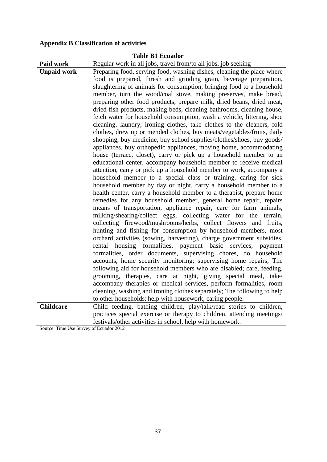## **Appendix B Classification of activities**

|                                        | <b>Table B1 Ecuador</b>                                                                                                                                                                                                                                                                                                                                                                                                                                                                                                                                                                                                                                                                                                                                                                                                                                                                                                                                                                                                                                                                                                                                                                                                                                                                                                                                                                                                                                                                                                                                                                                                                                                                                                                                                                                                                                                                                                                                                                                                                                                                                                                                                                |
|----------------------------------------|----------------------------------------------------------------------------------------------------------------------------------------------------------------------------------------------------------------------------------------------------------------------------------------------------------------------------------------------------------------------------------------------------------------------------------------------------------------------------------------------------------------------------------------------------------------------------------------------------------------------------------------------------------------------------------------------------------------------------------------------------------------------------------------------------------------------------------------------------------------------------------------------------------------------------------------------------------------------------------------------------------------------------------------------------------------------------------------------------------------------------------------------------------------------------------------------------------------------------------------------------------------------------------------------------------------------------------------------------------------------------------------------------------------------------------------------------------------------------------------------------------------------------------------------------------------------------------------------------------------------------------------------------------------------------------------------------------------------------------------------------------------------------------------------------------------------------------------------------------------------------------------------------------------------------------------------------------------------------------------------------------------------------------------------------------------------------------------------------------------------------------------------------------------------------------------|
| Paid work                              | Regular work in all jobs, travel from/to all jobs, job seeking                                                                                                                                                                                                                                                                                                                                                                                                                                                                                                                                                                                                                                                                                                                                                                                                                                                                                                                                                                                                                                                                                                                                                                                                                                                                                                                                                                                                                                                                                                                                                                                                                                                                                                                                                                                                                                                                                                                                                                                                                                                                                                                         |
| <b>Unpaid work</b>                     | Preparing food, serving food, washing dishes, cleaning the place where<br>food is prepared, thresh and grinding grain, beverage preparation,<br>slaughtering of animals for consumption, bringing food to a household<br>member, turn the wood/coal stove, making preserves, make bread,<br>preparing other food products, prepare milk, dried beans, dried meat,<br>dried fish products, making beds, cleaning bathrooms, cleaning house,<br>fetch water for household consumption, wash a vehicle, littering, shoe<br>cleaning, laundry, ironing clothes, take clothes to the cleaners, fold<br>clothes, drew up or mended clothes, buy meats/vegetables/fruits, daily<br>shopping, buy medicine, buy school supplies/clothes/shoes, buy goods/<br>appliances, buy orthopedic appliances, moving home, accommodating<br>house (terrace, closet), carry or pick up a household member to an<br>educational center, accompany household member to receive medical<br>attention, carry or pick up a household member to work, accompany a<br>household member to a special class or training, caring for sick<br>household member by day or night, carry a household member to a<br>health center, carry a household member to a therapist, prepare home<br>remedies for any household member, general home repair, repairs<br>means of transportation, appliance repair, care for farm animals,<br>milking/shearing/collect eggs, collecting water for the terrain,<br>collecting firewood/mushrooms/herbs, collect flowers and fruits,<br>hunting and fishing for consumption by household members, most<br>orchard activities (sowing, harvesting), charge government subsidies,<br>housing formalities, payment basic services, payment<br>rental<br>formalities, order documents, supervising chores, do household<br>accounts, home security monitoring; supervising home repairs; The<br>following aid for household members who are disabled; care, feeding,<br>grooming, therapies, care at night, giving special meal, take/<br>accompany therapies or medical services, perform formalities, room<br>cleaning, washing and ironing clothes separately; The following to help |
|                                        | to other households: help with housework, caring people.                                                                                                                                                                                                                                                                                                                                                                                                                                                                                                                                                                                                                                                                                                                                                                                                                                                                                                                                                                                                                                                                                                                                                                                                                                                                                                                                                                                                                                                                                                                                                                                                                                                                                                                                                                                                                                                                                                                                                                                                                                                                                                                               |
| <b>Childcare</b>                       | Child feeding, bathing children, play/talk/read stories to children,                                                                                                                                                                                                                                                                                                                                                                                                                                                                                                                                                                                                                                                                                                                                                                                                                                                                                                                                                                                                                                                                                                                                                                                                                                                                                                                                                                                                                                                                                                                                                                                                                                                                                                                                                                                                                                                                                                                                                                                                                                                                                                                   |
| Course Time Hee Survey of Founder 2012 | practices special exercise or therapy to children, attending meetings/<br>festivals/other activities in school, help with homework.                                                                                                                                                                                                                                                                                                                                                                                                                                                                                                                                                                                                                                                                                                                                                                                                                                                                                                                                                                                                                                                                                                                                                                                                                                                                                                                                                                                                                                                                                                                                                                                                                                                                                                                                                                                                                                                                                                                                                                                                                                                    |

Source: Time Use Survey of Ecuador 2012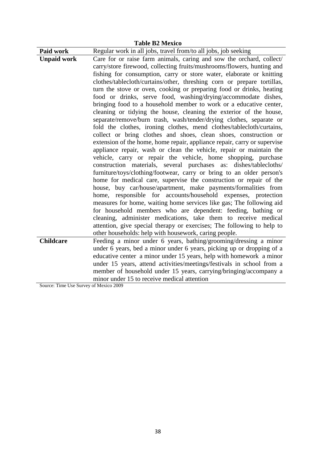|                                        | <b>Table B2 Mexico</b>                                                   |
|----------------------------------------|--------------------------------------------------------------------------|
| Paid work                              | Regular work in all jobs, travel from/to all jobs, job seeking           |
| <b>Unpaid work</b>                     | Care for or raise farm animals, caring and sow the orchard, collect/     |
|                                        | carry/store firewood, collecting fruits/mushrooms/flowers, hunting and   |
|                                        | fishing for consumption, carry or store water, elaborate or knitting     |
|                                        | clothes/tablecloth/curtains/other, threshing corn or prepare tortillas,  |
|                                        | turn the stove or oven, cooking or preparing food or drinks, heating     |
|                                        | food or drinks, serve food, washing/drying/accommodate dishes,           |
|                                        | bringing food to a household member to work or a educative center,       |
|                                        | cleaning or tidying the house, cleaning the exterior of the house,       |
|                                        | separate/remove/burn trash, wash/tender/drying clothes, separate or      |
|                                        | fold the clothes, ironing clothes, mend clothes/tablecloth/curtains,     |
|                                        | collect or bring clothes and shoes, clean shoes, construction or         |
|                                        | extension of the home, home repair, appliance repair, carry or supervise |
|                                        | appliance repair, wash or clean the vehicle, repair or maintain the      |
|                                        | vehicle, carry or repair the vehicle, home shopping, purchase            |
|                                        | construction materials, several purchases as: dishes/tablecloths/        |
|                                        | furniture/toys/clothing/footwear, carry or bring to an older person's    |
|                                        | home for medical care, supervise the construction or repair of the       |
|                                        | house, buy car/house/apartment, make payments/formalities from           |
|                                        | home, responsible for accounts/household expenses, protection            |
|                                        | measures for home, waiting home services like gas; The following aid     |
|                                        | for household members who are dependent: feeding, bathing or             |
|                                        | cleaning, administer medications, take them to receive medical           |
|                                        | attention, give special therapy or exercises; The following to help to   |
|                                        | other households: help with housework, caring people.                    |
| <b>Childcare</b>                       | Feeding a minor under 6 years, bathing/grooming/dressing a minor         |
|                                        | under 6 years, bed a minor under 6 years, picking up or dropping of a    |
|                                        | educative center a minor under 15 years, help with homework a minor      |
|                                        | under 15 years, attend activities/meetings/festivals in school from a    |
|                                        | member of household under 15 years, carrying/bringing/accompany a        |
|                                        | minor under 15 to receive medical attention                              |
| Source: Time Use Survey of Mexico 2009 |                                                                          |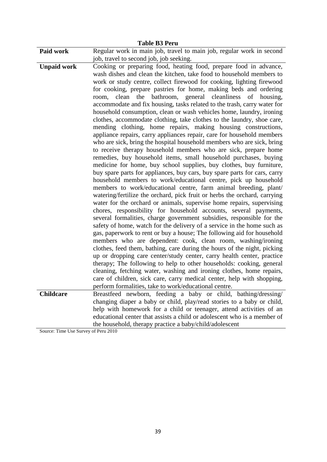| Regular work in main job, travel to main job, regular work in second<br>job, travel to second job, job seeking.<br>Cooking or preparing food, heating food, prepare food in advance,<br>wash dishes and clean the kitchen, take food to household members to<br>work or study centre, collect firewood for cooking, lighting firewood<br>for cooking, prepare pastries for home, making beds and ordering<br>clean the bathroom, general cleanliness of housing,<br>room,<br>accommodate and fix housing, tasks related to the trash, carry water for<br>household consumption, clean or wash vehicles home, laundry, ironing<br>clothes, accommodate clothing, take clothes to the laundry, shoe care,<br>mending clothing, home repairs, making housing constructions,<br>appliance repairs, carry appliances repair, care for household members<br>who are sick, bring the hospital household members who are sick, bring<br>to receive therapy household members who are sick, prepare home<br>remedies, buy household items, small household purchases, buying<br>medicine for home, buy school supplies, buy clothes, buy furniture,<br>buy spare parts for appliances, buy cars, buy spare parts for cars, carry<br>household members to work/educational centre, pick up household<br>members to work/educational centre, farm animal breeding, plant/<br>watering/fertilize the orchard, pick fruit or herbs the orchard, carrying<br>water for the orchard or animals, supervise home repairs, supervising<br>chores, responsibility for household accounts, several payments,<br>several formalities, charge government subsidies, responsible for the<br>safety of home, watch for the delivery of a service in the home such as<br>gas, paperwork to rent or buy a house; The following aid for household<br>members who are dependent: cook, clean room, washing/ironing<br>clothes, feed them, bathing, care during the hours of the night, picking<br>up or dropping care center/study center, carry health center, practice<br>therapy; The following to help to other households: cooking, general<br>cleaning, fetching water, washing and ironing clothes, home repairs,<br>care of children, sick care, carry medical center, help with shopping,<br>perform formalities, take to work/educational centre.<br><b>Childcare</b><br>Breastfeed newborn, feeding a baby or child, bathing/dressing/<br>changing diaper a baby or child, play/read stories to a baby or child,<br>help with homework for a child or teenager, attend activities of an<br>educational center that assists a child or adolescent who is a member of | <b>Table B3 Peru</b> |  |
|----------------------------------------------------------------------------------------------------------------------------------------------------------------------------------------------------------------------------------------------------------------------------------------------------------------------------------------------------------------------------------------------------------------------------------------------------------------------------------------------------------------------------------------------------------------------------------------------------------------------------------------------------------------------------------------------------------------------------------------------------------------------------------------------------------------------------------------------------------------------------------------------------------------------------------------------------------------------------------------------------------------------------------------------------------------------------------------------------------------------------------------------------------------------------------------------------------------------------------------------------------------------------------------------------------------------------------------------------------------------------------------------------------------------------------------------------------------------------------------------------------------------------------------------------------------------------------------------------------------------------------------------------------------------------------------------------------------------------------------------------------------------------------------------------------------------------------------------------------------------------------------------------------------------------------------------------------------------------------------------------------------------------------------------------------------------------------------------------------------------------------------------------------------------------------------------------------------------------------------------------------------------------------------------------------------------------------------------------------------------------------------------------------------------------------------------------------------------------------------------------------------------------------------------------------------------------------------------------------------------------------------------------|----------------------|--|
|                                                                                                                                                                                                                                                                                                                                                                                                                                                                                                                                                                                                                                                                                                                                                                                                                                                                                                                                                                                                                                                                                                                                                                                                                                                                                                                                                                                                                                                                                                                                                                                                                                                                                                                                                                                                                                                                                                                                                                                                                                                                                                                                                                                                                                                                                                                                                                                                                                                                                                                                                                                                                                                    | Paid work            |  |
|                                                                                                                                                                                                                                                                                                                                                                                                                                                                                                                                                                                                                                                                                                                                                                                                                                                                                                                                                                                                                                                                                                                                                                                                                                                                                                                                                                                                                                                                                                                                                                                                                                                                                                                                                                                                                                                                                                                                                                                                                                                                                                                                                                                                                                                                                                                                                                                                                                                                                                                                                                                                                                                    |                      |  |
|                                                                                                                                                                                                                                                                                                                                                                                                                                                                                                                                                                                                                                                                                                                                                                                                                                                                                                                                                                                                                                                                                                                                                                                                                                                                                                                                                                                                                                                                                                                                                                                                                                                                                                                                                                                                                                                                                                                                                                                                                                                                                                                                                                                                                                                                                                                                                                                                                                                                                                                                                                                                                                                    | <b>Unpaid work</b>   |  |
|                                                                                                                                                                                                                                                                                                                                                                                                                                                                                                                                                                                                                                                                                                                                                                                                                                                                                                                                                                                                                                                                                                                                                                                                                                                                                                                                                                                                                                                                                                                                                                                                                                                                                                                                                                                                                                                                                                                                                                                                                                                                                                                                                                                                                                                                                                                                                                                                                                                                                                                                                                                                                                                    |                      |  |
|                                                                                                                                                                                                                                                                                                                                                                                                                                                                                                                                                                                                                                                                                                                                                                                                                                                                                                                                                                                                                                                                                                                                                                                                                                                                                                                                                                                                                                                                                                                                                                                                                                                                                                                                                                                                                                                                                                                                                                                                                                                                                                                                                                                                                                                                                                                                                                                                                                                                                                                                                                                                                                                    |                      |  |
| the household, therapy practice a baby/child/adolescent<br>Source: Time Use Survey of Peru 2010                                                                                                                                                                                                                                                                                                                                                                                                                                                                                                                                                                                                                                                                                                                                                                                                                                                                                                                                                                                                                                                                                                                                                                                                                                                                                                                                                                                                                                                                                                                                                                                                                                                                                                                                                                                                                                                                                                                                                                                                                                                                                                                                                                                                                                                                                                                                                                                                                                                                                                                                                    |                      |  |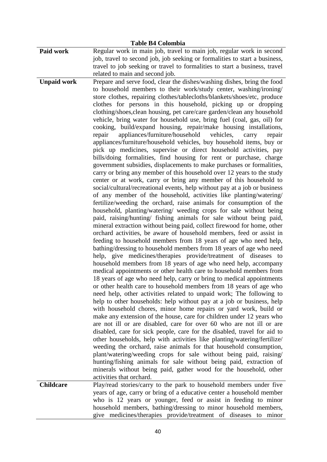| <b>Table B4 Colombia</b> |                                                                                                                                                                                                                                                                                                                                                                                                                                                                                                                                                                                                                                                                                                                                                                                                                                                                                                                                                                                                                                                                                                                                                                                                                                                                                                                                                                                                                                                                                                                                                                                                                                                                                                                                                                                                                                                                                                                                                                                                                                                                                                                                                                                                                                                                                                                                                                                                                                                                                                                                                                                                                                                                                                                                                                                                                                                                                                                               |  |
|--------------------------|-------------------------------------------------------------------------------------------------------------------------------------------------------------------------------------------------------------------------------------------------------------------------------------------------------------------------------------------------------------------------------------------------------------------------------------------------------------------------------------------------------------------------------------------------------------------------------------------------------------------------------------------------------------------------------------------------------------------------------------------------------------------------------------------------------------------------------------------------------------------------------------------------------------------------------------------------------------------------------------------------------------------------------------------------------------------------------------------------------------------------------------------------------------------------------------------------------------------------------------------------------------------------------------------------------------------------------------------------------------------------------------------------------------------------------------------------------------------------------------------------------------------------------------------------------------------------------------------------------------------------------------------------------------------------------------------------------------------------------------------------------------------------------------------------------------------------------------------------------------------------------------------------------------------------------------------------------------------------------------------------------------------------------------------------------------------------------------------------------------------------------------------------------------------------------------------------------------------------------------------------------------------------------------------------------------------------------------------------------------------------------------------------------------------------------------------------------------------------------------------------------------------------------------------------------------------------------------------------------------------------------------------------------------------------------------------------------------------------------------------------------------------------------------------------------------------------------------------------------------------------------------------------------------------------------|--|
| Paid work                | Regular work in main job, travel to main job, regular work in second<br>job, travel to second job, job seeking or formalities to start a business,<br>travel to job seeking or travel to formalities to start a business, travel<br>related to main and second job.                                                                                                                                                                                                                                                                                                                                                                                                                                                                                                                                                                                                                                                                                                                                                                                                                                                                                                                                                                                                                                                                                                                                                                                                                                                                                                                                                                                                                                                                                                                                                                                                                                                                                                                                                                                                                                                                                                                                                                                                                                                                                                                                                                                                                                                                                                                                                                                                                                                                                                                                                                                                                                                           |  |
| <b>Unpaid work</b>       | Prepare and serve food, clear the dishes/washing dishes, bring the food<br>to household members to their work/study center, washing/ironing/<br>store clothes, repairing clothes/tablecloths/blankets/shoes/etc, produce<br>clothes for persons in this household, picking up or dropping<br>clothing/shoes, clean housing, pet care/care garden/clean any household<br>vehicle, bring water for household use, bring fuel (coal, gas, oil) for<br>cooking, build/expand housing, repair/make housing installations,<br>appliances/furniture/household<br>vehicles,<br>repair<br>carry<br>repair<br>appliances/furniture/household vehicles, buy household items, buy or<br>pick up medicines, supervise or direct household activities, pay<br>bills/doing formalities, find housing for rent or purchase, charge<br>government subsidies, displacements to make purchases or formalities,<br>carry or bring any member of this household over 12 years to the study<br>center or at work, carry or bring any member of this household to<br>social/cultural/recreational events, help without pay at a job or business<br>of any member of the household, activities like planting/watering/<br>fertilize/weeding the orchard, raise animals for consumption of the<br>household, planting/watering/ weeding crops for sale without being<br>paid, raising/hunting/ fishing animals for sale without being paid,<br>mineral extraction without being paid, collect firewood for home, other<br>orchard activities, be aware of household members, feed or assist in<br>feeding to household members from 18 years of age who need help,<br>bathing/dressing to household members from 18 years of age who need<br>help, give medicines/therapies provide/treatment of diseases to<br>household members from 18 years of age who need help, accompany<br>medical appointments or other health care to household members from<br>18 years of age who need help, carry or bring to medical appointments<br>or other health care to household members from 18 years of age who<br>need help, other activities related to unpaid work; The following to<br>help to other households: help without pay at a job or business, help<br>with household chores, minor home repairs or yard work, build or<br>make any extension of the house, care for children under 12 years who<br>are not ill or are disabled, care for over 60 who are not ill or are<br>disabled, care for sick people, care for the disabled, travel for aid to<br>other households, help with activities like planting/watering/fertilize/<br>weeding the orchard, raise animals for that household consumption,<br>plant/watering/weeding crops for sale without being paid, raising/<br>hunting/fishing animals for sale without being paid, extraction of<br>minerals without being paid, gather wood for the household, other<br>activities that orchard. |  |
| <b>Childcare</b>         | Play/read stories/carry to the park to household members under five<br>years of age, carry or bring of a educative center a household member<br>who is 12 years or younger, feed or assist in feeding to minor<br>household members, bathing/dressing to minor household members,<br>give medicines/therapies provide/treatment of diseases to minor                                                                                                                                                                                                                                                                                                                                                                                                                                                                                                                                                                                                                                                                                                                                                                                                                                                                                                                                                                                                                                                                                                                                                                                                                                                                                                                                                                                                                                                                                                                                                                                                                                                                                                                                                                                                                                                                                                                                                                                                                                                                                                                                                                                                                                                                                                                                                                                                                                                                                                                                                                          |  |